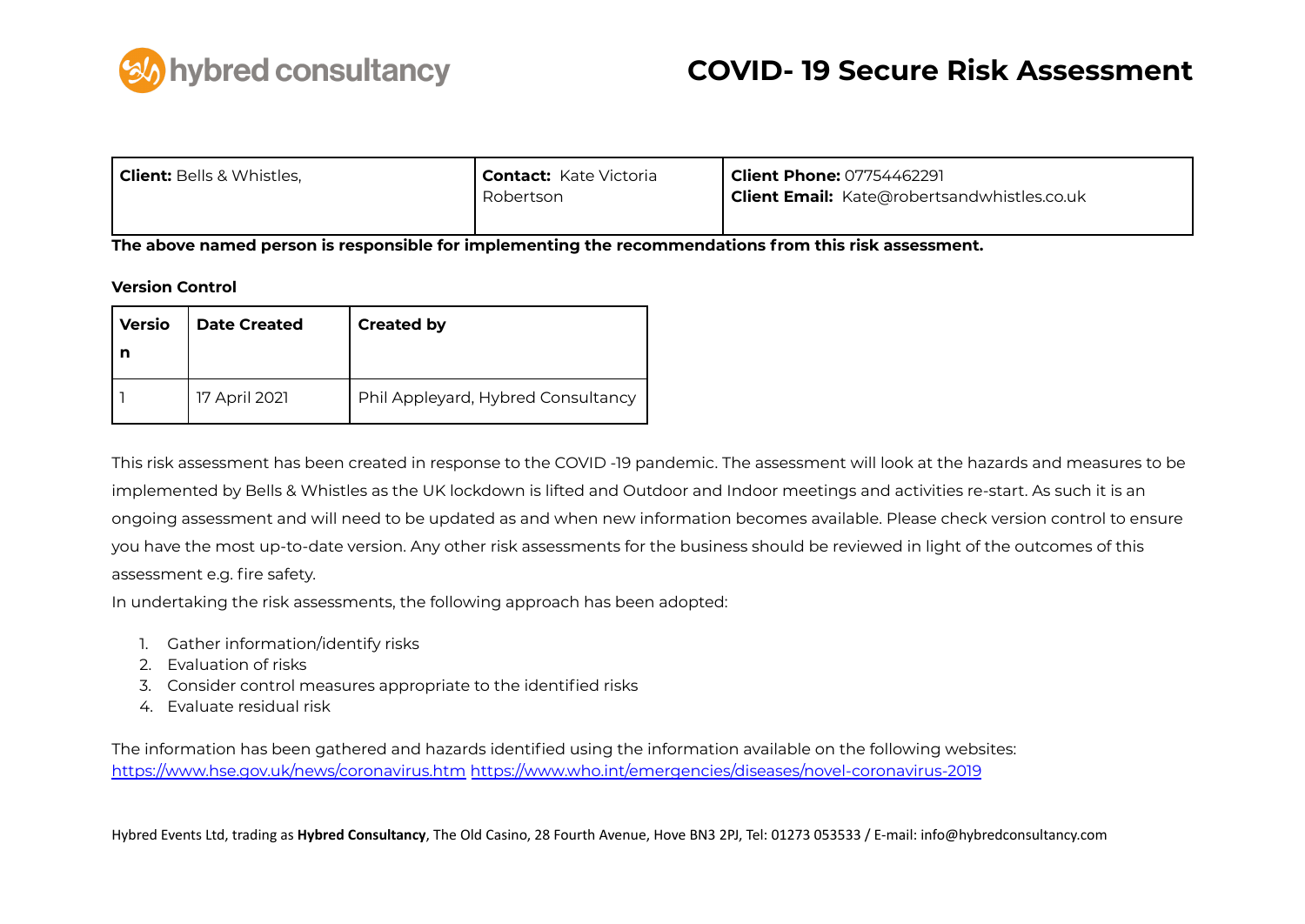

| <b>Client:</b> Bells & Whistles, | <b>  Contact:</b> Kate Victoria<br>Robertson | <b>Client Phone: 07754462291</b><br><b>Client Email:</b> Kate@robertsandwhistles.co.uk |  |  |  |  |  |  |
|----------------------------------|----------------------------------------------|----------------------------------------------------------------------------------------|--|--|--|--|--|--|
|                                  |                                              |                                                                                        |  |  |  |  |  |  |

**The above named person is responsible for implementing the recommendations from this risk assessment.**

#### **Version Control**

| <b>Versio</b> | <b>Date Created</b> | <b>Created by</b>                  |
|---------------|---------------------|------------------------------------|
|               | 17 April 2021       | Phil Appleyard, Hybred Consultancy |

This risk assessment has been created in response to the COVID -19 pandemic. The assessment will look at the hazards and measures to be implemented by Bells & Whistles as the UK lockdown is lifted and Outdoor and Indoor meetings and activities re-start. As such it is an ongoing assessment and will need to be updated as and when new information becomes available. Please check version control to ensure you have the most up-to-date version. Any other risk assessments for the business should be reviewed in light of the outcomes of this assessment e.g. fire safety.

In undertaking the risk assessments, the following approach has been adopted:

- 1. Gather information/identify risks
- 2. Evaluation of risks
- 3. Consider control measures appropriate to the identified risks
- 4. Evaluate residual risk

The information has been gathered and hazards identified using the information available on the following websites: <https://www.hse.gov.uk/news/coronavirus.htm> <https://www.who.int/emergencies/diseases/novel-coronavirus-2019>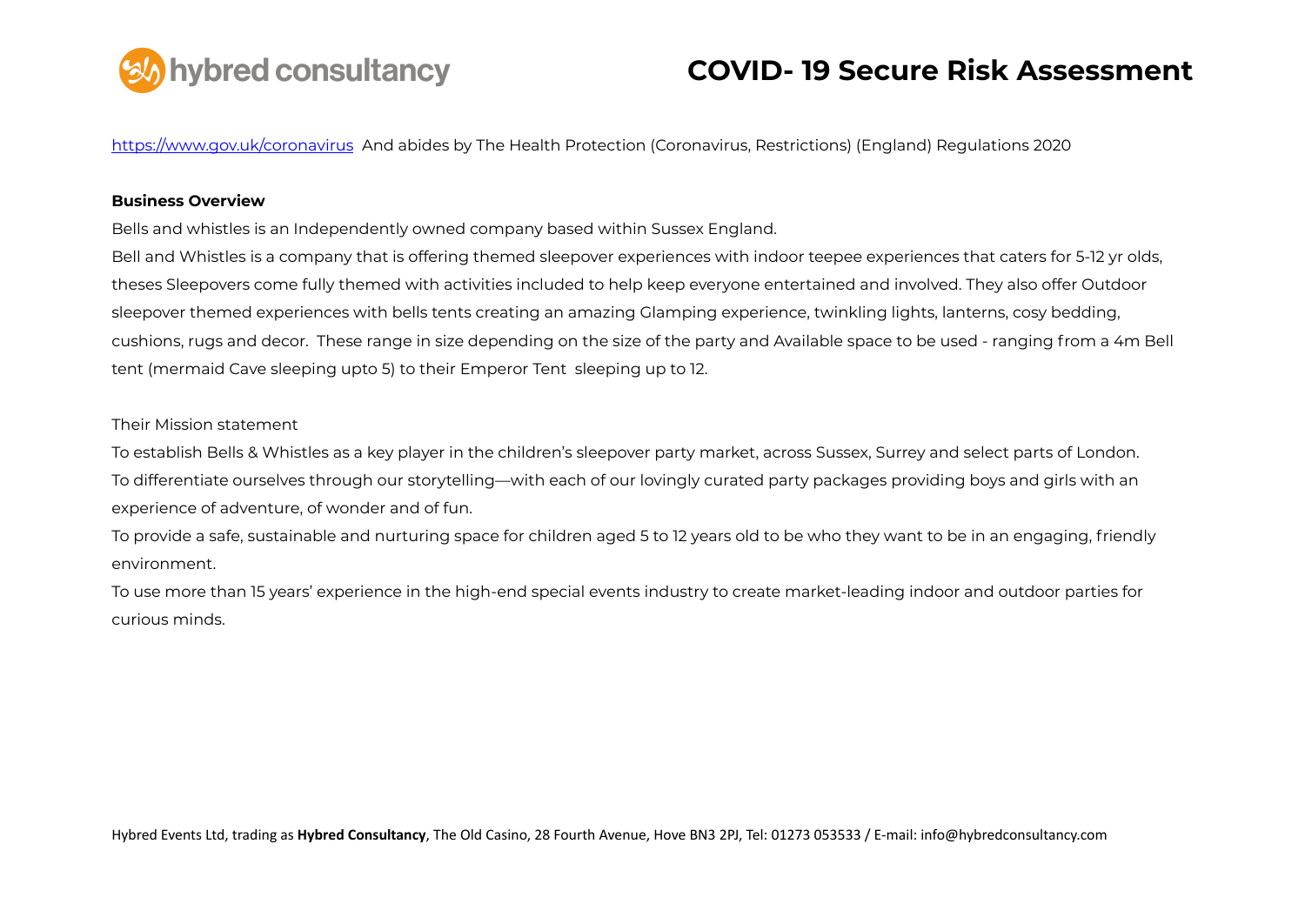

<https://www.gov.uk/coronavirus> And abides by The Health Protection (Coronavirus, Restrictions) (England) Regulations 2020

#### **Business Overview**

Bells and whistles is an Independently owned company based within Sussex England.

Bell and Whistles is a company that is offering themed sleepover experiences with indoor teepee experiences that caters for 5-12 yr olds, theses Sleepovers come fully themed with activities included to help keep everyone entertained and involved. They also offer Outdoor sleepover themed experiences with bells tents creating an amazing Glamping experience, twinkling lights, lanterns, cosy bedding, cushions, rugs and decor. These range in size depending on the size of the party and Available space to be used - ranging from a 4m Bell tent (mermaid Cave sleeping upto 5) to their Emperor Tent sleeping up to 12.

#### Their Mission statement

To establish Bells & Whistles as a key player in the children's sleepover party market, across Sussex, Surrey and select parts of London. To differentiate ourselves through our storytelling—with each of our lovingly curated party packages providing boys and girls with an experience of adventure, of wonder and of fun.

To provide a safe, sustainable and nurturing space for children aged 5 to 12 years old to be who they want to be in an engaging, friendly environment.

To use more than 15 years' experience in the high-end special events industry to create market-leading indoor and outdoor parties for curious minds.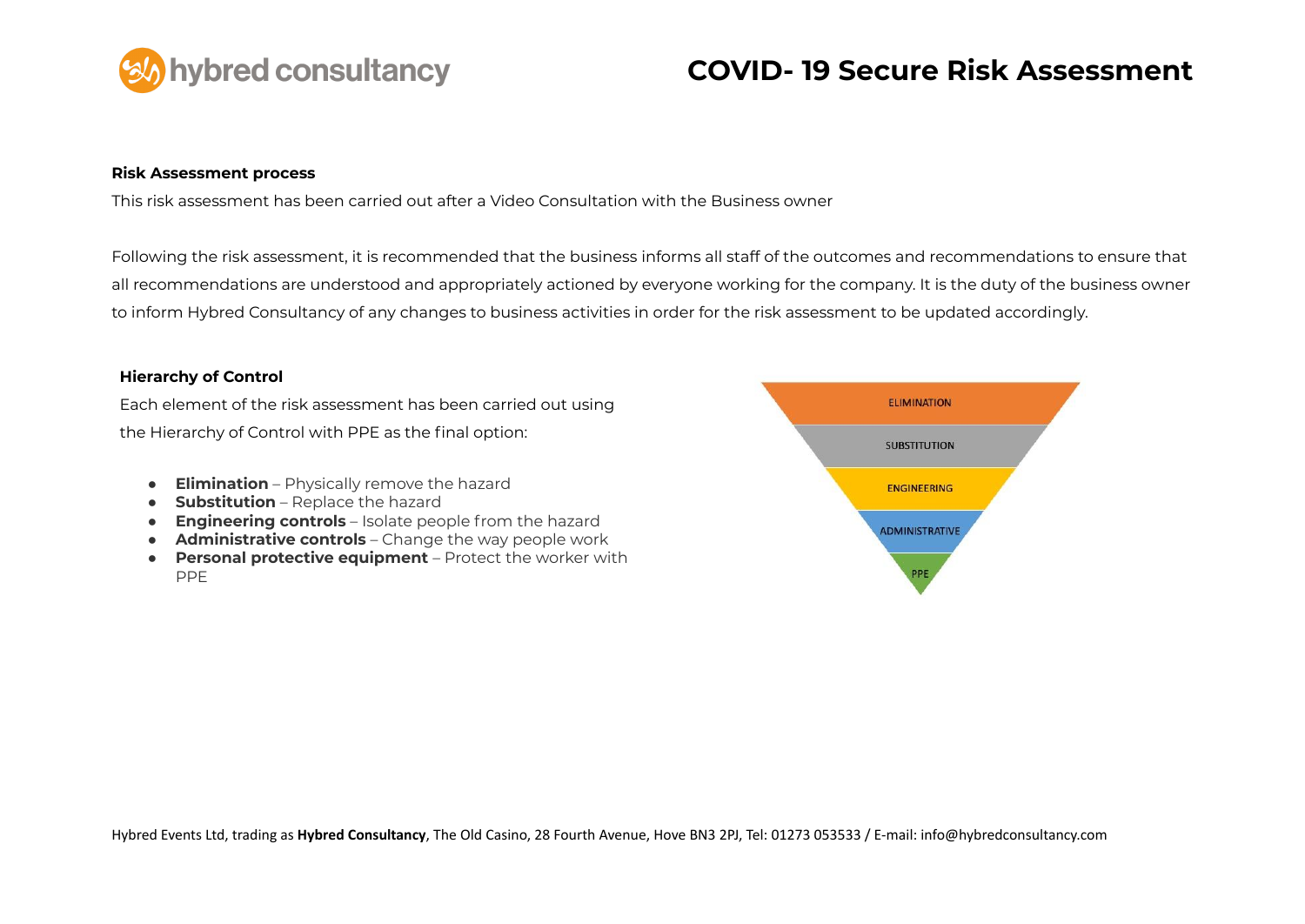

#### **Risk Assessment process**

This risk assessment has been carried out after a Video Consultation with the Business owner

Following the risk assessment, it is recommended that the business informs all staff of the outcomes and recommendations to ensure that all recommendations are understood and appropriately actioned by everyone working for the company. It is the duty of the business owner to inform Hybred Consultancy of any changes to business activities in order for the risk assessment to be updated accordingly.

#### **Hierarchy of Control**

Each element of the risk assessment has been carried out using the Hierarchy of Control with PPE as the final option:

- **Elimination** Physically remove the hazard
- **Substitution** Replace the hazard
- **Engineering controls** Isolate people from the hazard
- **Administrative controls** Change the way people work
- **Personal protective equipment** Protect the worker with PPE

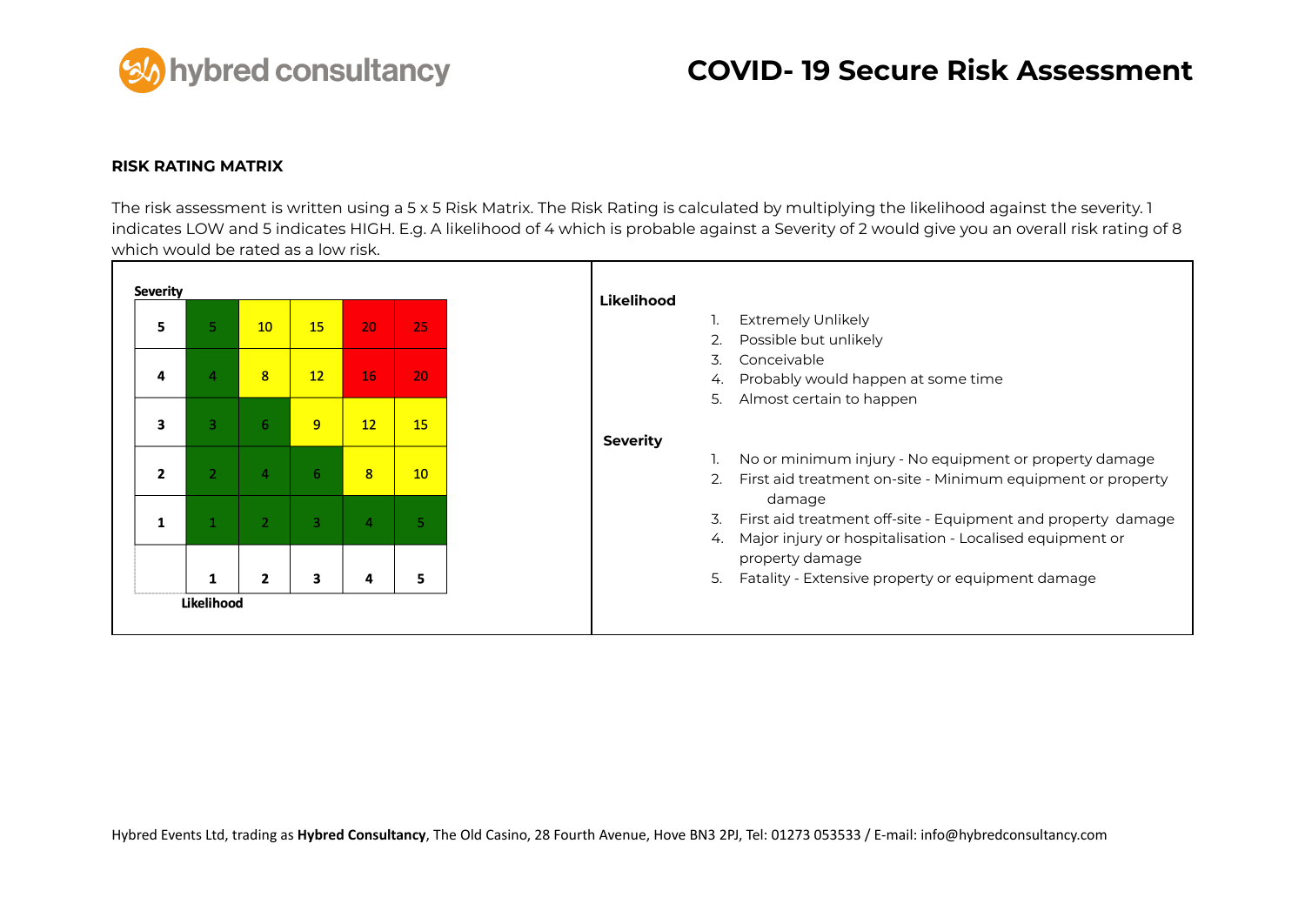

#### **RISK RATING MATRIX**

The risk assessment is written using a 5 x 5 Risk Matrix. The Risk Rating is calculated by multiplying the likelihood against the severity. 1 indicates LOW and 5 indicates HIGH. E.g. A likelihood of 4 which is probable against a Severity of 2 would give you an overall risk rating of 8 which would be rated as a low risk.

| <b>Severity</b> |              |                |                |                |    | Likelihood                                                         |
|-----------------|--------------|----------------|----------------|----------------|----|--------------------------------------------------------------------|
| 5               |              | 10             | 15             | 20             | 25 | <b>Extremely Unlikely</b>                                          |
|                 |              |                |                |                |    | Possible but unlikely                                              |
|                 |              |                |                |                |    | Conceivable<br>3.                                                  |
| 4               |              | 8              | 12             | 16             | 20 | Probably would happen at some time<br>4.                           |
|                 |              |                |                |                |    | 5.<br>Almost certain to happen                                     |
| 3               | 3.           | 6              | 9              | 12             | 15 |                                                                    |
|                 |              |                |                |                |    | <b>Severity</b>                                                    |
|                 |              |                |                |                |    | No or minimum injury - No equipment or property damage             |
| $\mathbf{z}$    | $\mathbf{2}$ | $\overline{4}$ | 6.             | 8              | 10 | First aid treatment on-site - Minimum equipment or property<br>2.  |
|                 |              |                |                |                |    | damage                                                             |
| 1               |              | $\overline{2}$ | $\overline{3}$ | $\overline{a}$ |    | 3.<br>First aid treatment off-site - Equipment and property damage |
|                 |              |                |                |                |    | Major injury or hospitalisation - Localised equipment or<br>4.     |
|                 |              |                |                |                |    | property damage                                                    |
|                 |              | $\mathbf{2}$   | 3              | 4              | 5  | 5.<br>Fatality - Extensive property or equipment damage            |
|                 | Likelihood   |                |                |                |    |                                                                    |
|                 |              |                |                |                |    |                                                                    |
|                 |              |                |                |                |    |                                                                    |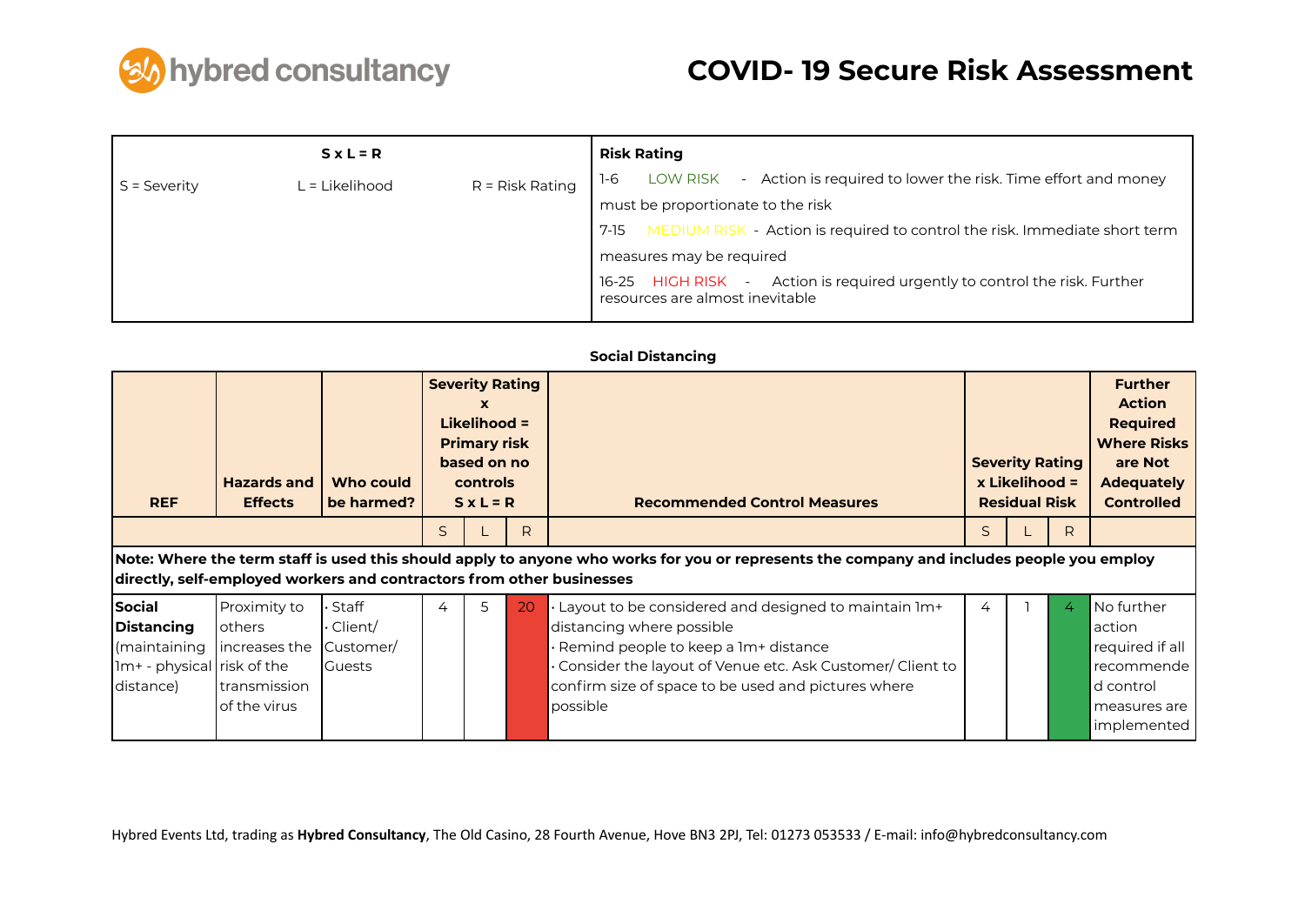

|                | $S \times L = R$ |                   | <b>Risk Rating</b>                                                                                            |
|----------------|------------------|-------------------|---------------------------------------------------------------------------------------------------------------|
| $S =$ Severity | L = Likelihood   | $R =$ Risk Rating | LOW RISK - Action is required to lower the risk. Time effort and money<br>1-6                                 |
|                |                  |                   | must be proportionate to the risk                                                                             |
|                |                  |                   | MEDIUM RISK - Action is required to control the risk. Immediate short term<br>7-15                            |
|                |                  |                   | measures may be required                                                                                      |
|                |                  |                   | 16-25 HIGH RISK - Action is required urgently to control the risk. Further<br>resources are almost inevitable |

### **Social Distancing**

| <b>REF</b>                 | <b>Hazards and</b><br><b>Effects</b>                                  | Who could<br>be harmed? |    | <b>Severity Rating</b><br><b>X</b><br>Likelihood =<br><b>Primary risk</b><br>based on no<br>controls<br>$S \times L = R$ |    | <b>Recommended Control Measures</b>                                                                                                       |   | <b>Severity Rating</b><br>x Likelihood =<br><b>Residual Risk</b> |   | <b>Further</b><br><b>Action</b><br><b>Required</b><br><b>Where Risks</b><br>are Not<br><b>Adequately</b><br><b>Controlled</b> |
|----------------------------|-----------------------------------------------------------------------|-------------------------|----|--------------------------------------------------------------------------------------------------------------------------|----|-------------------------------------------------------------------------------------------------------------------------------------------|---|------------------------------------------------------------------|---|-------------------------------------------------------------------------------------------------------------------------------|
|                            |                                                                       |                         | S. |                                                                                                                          | R  |                                                                                                                                           | S |                                                                  | R |                                                                                                                               |
|                            | directly, self-employed workers and contractors from other businesses |                         |    |                                                                                                                          |    | Note: Where the term staff is used this should apply to anyone who works for you or represents the company and includes people you employ |   |                                                                  |   |                                                                                                                               |
| Social                     | Proximity to                                                          | Staff                   | 4  | 5                                                                                                                        | 20 | Layout to be considered and designed to maintain 1m+                                                                                      | 4 |                                                                  | 4 | No further                                                                                                                    |
| Distancing                 | lothers                                                               | Client/                 |    |                                                                                                                          |    | distancing where possible                                                                                                                 |   |                                                                  |   | action                                                                                                                        |
| maintaining                | Increases the                                                         | Customer/               |    |                                                                                                                          |    | Remind people to keep a 1m+ distance                                                                                                      |   |                                                                  |   | required if all                                                                                                               |
| 1m+ - physical risk of the |                                                                       | <b>Guests</b>           |    |                                                                                                                          |    | Consider the layout of Venue etc. Ask Customer/ Client to                                                                                 |   |                                                                  |   | recommende                                                                                                                    |
| distance)                  | transmission                                                          |                         |    |                                                                                                                          |    | confirm size of space to be used and pictures where                                                                                       |   |                                                                  |   | d control                                                                                                                     |
|                            | of the virus                                                          |                         |    |                                                                                                                          |    | possible                                                                                                                                  |   |                                                                  |   | measures are                                                                                                                  |
|                            |                                                                       |                         |    |                                                                                                                          |    |                                                                                                                                           |   |                                                                  |   | implemented                                                                                                                   |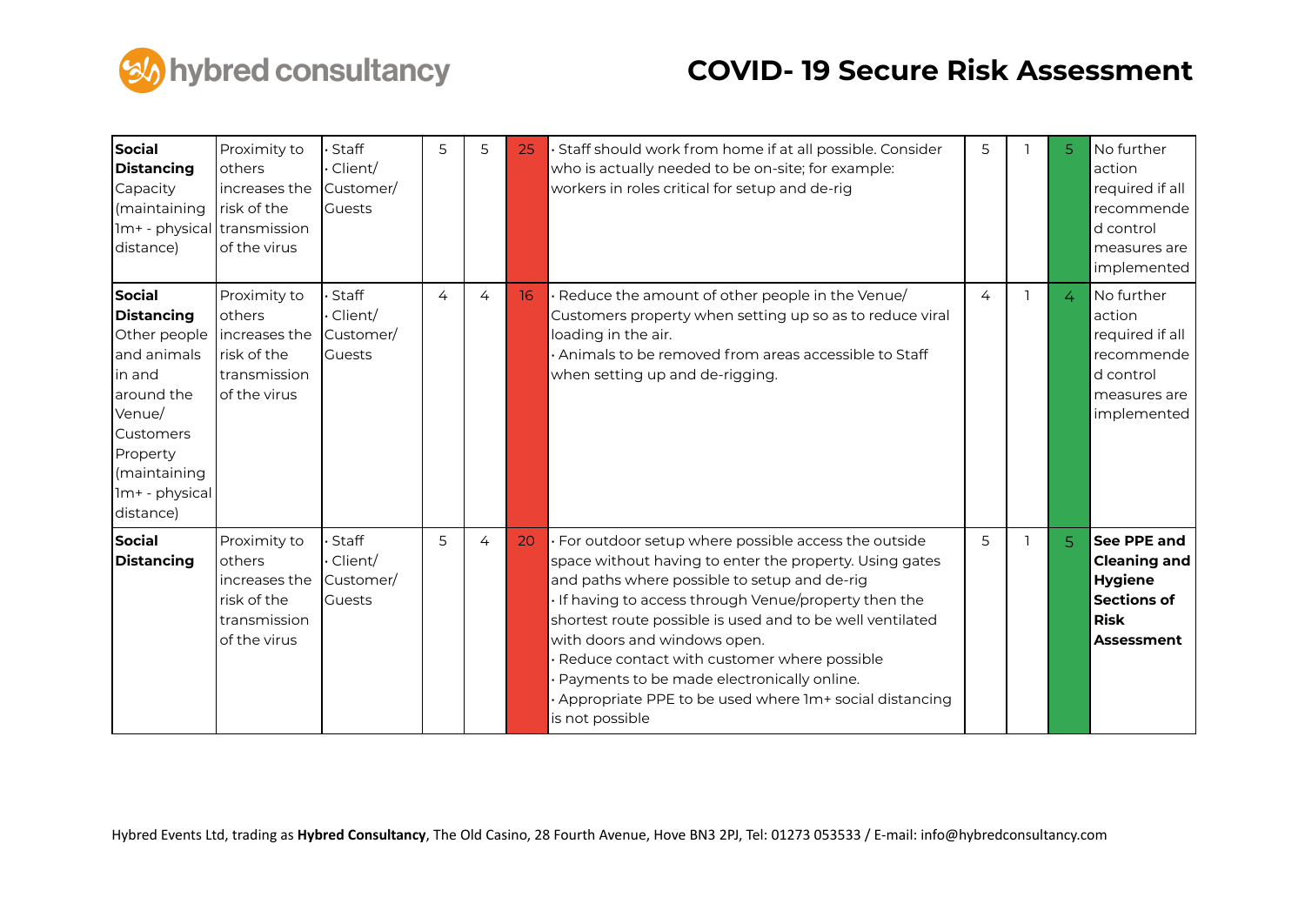

| Social<br>Distancing<br>Capacity<br>(maintaining<br>1m+ - physical transmission<br>distance)                                                                         | Proximity to<br>others<br>increases the<br>lrisk of the<br>of the virus                 | Staff<br>Client/<br>Customer/<br><b>Guests</b> | 5 | 5 | 25 | · Staff should work from home if at all possible. Consider<br>who is actually needed to be on-site; for example:<br>workers in roles critical for setup and de-rig                                                                                                                                                                                                                                                                                                                           | 5 | 5              | No further<br>action<br>required if all<br>recommende<br>d control<br>measures are<br>implemented              |
|----------------------------------------------------------------------------------------------------------------------------------------------------------------------|-----------------------------------------------------------------------------------------|------------------------------------------------|---|---|----|----------------------------------------------------------------------------------------------------------------------------------------------------------------------------------------------------------------------------------------------------------------------------------------------------------------------------------------------------------------------------------------------------------------------------------------------------------------------------------------------|---|----------------|----------------------------------------------------------------------------------------------------------------|
| Social<br><b>Distancing</b><br>Other people<br>and animals<br>in and<br>around the<br>Venue/<br>Customers<br>Property<br>(maintaining<br>1m+ - physical<br>distance) | Proximity to<br>others<br>lincreases the<br>risk of the<br>transmission<br>of the virus | Staff<br>Client/<br>Customer/<br><b>Guests</b> | 4 | 4 | 16 | Reduce the amount of other people in the Venue/<br>Customers property when setting up so as to reduce viral<br>loading in the air.<br>Animals to be removed from areas accessible to Staff<br>when setting up and de-rigging.                                                                                                                                                                                                                                                                | 4 | $\overline{4}$ | No further<br>action<br>required if all<br>recommende<br>d control<br>measures are<br>implemented              |
| Social<br>Distancing                                                                                                                                                 | Proximity to<br>others<br>increases the<br>risk of the<br>transmission<br>of the virus  | Staff<br>Client/<br>Customer/<br><b>Guests</b> | 5 | 4 | 20 | For outdoor setup where possible access the outside<br>space without having to enter the property. Using gates<br>and paths where possible to setup and de-rig<br>If having to access through Venue/property then the<br>shortest route possible is used and to be well ventilated<br>with doors and windows open.<br>Reduce contact with customer where possible<br>Payments to be made electronically online.<br>Appropriate PPE to be used where Im+ social distancing<br>is not possible | 5 | 5.             | See PPE and<br><b>Cleaning and</b><br><b>Hygiene</b><br><b>Sections of</b><br><b>Risk</b><br><b>Assessment</b> |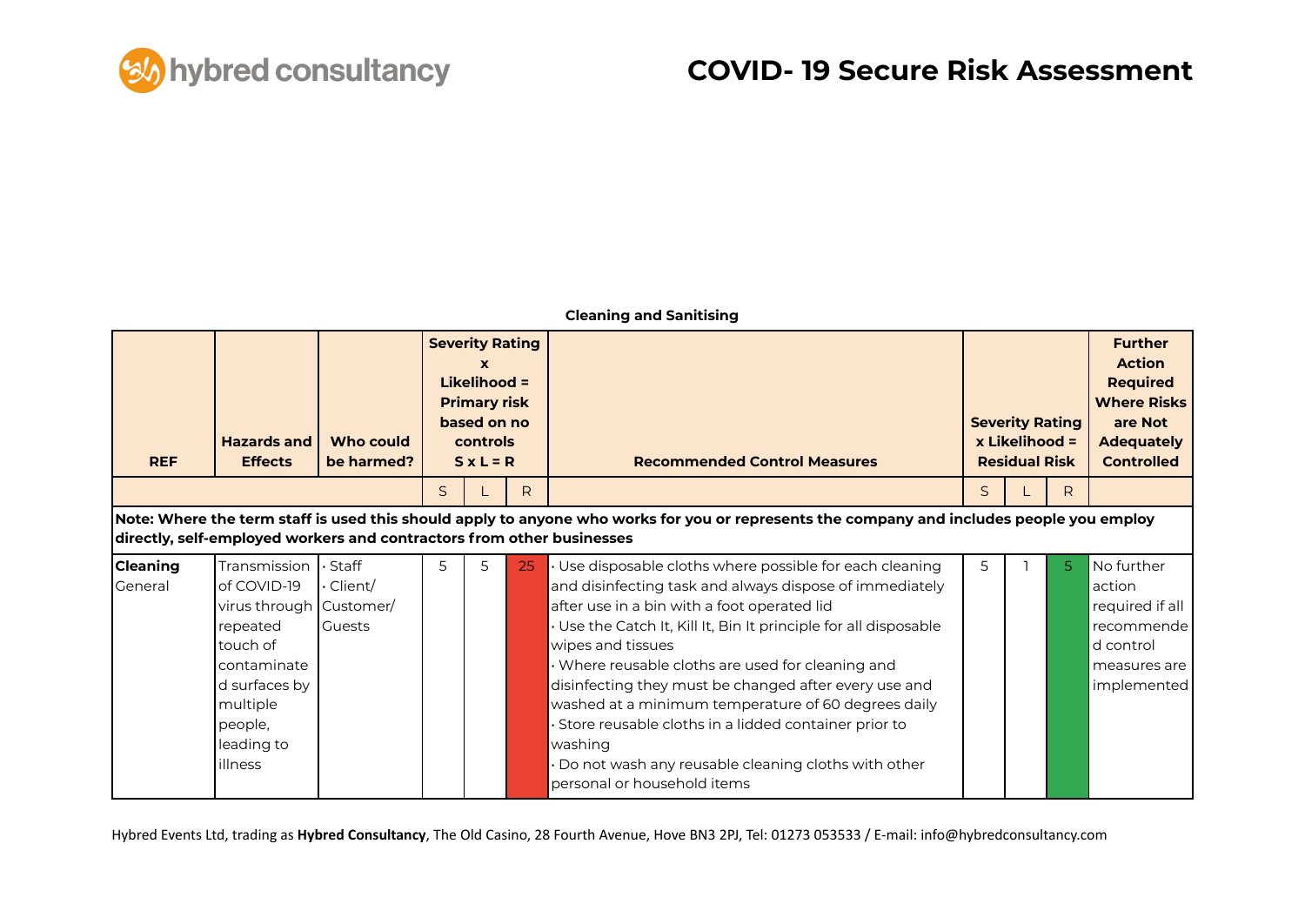

#### **Cleaning and Sanitising**

| <b>REF</b>                 | <b>Hazards and</b><br><b>Effects</b>                                                                                                                                                                               | Who could<br>be harmed?                           |              | <b>Severity Rating</b><br>X<br>Likelihood =<br><b>Primary risk</b><br>based on no<br>controls<br>$S \times L = R$ |              | <b>Recommended Control Measures</b>                                                                                                                                                                                                                                                                                                                                                                                                                                                                                                                                                 | <b>Severity Rating</b><br>x Likelihood =<br><b>Residual Risk</b> |  |    | <b>Further</b><br><b>Action</b><br><b>Required</b><br><b>Where Risks</b><br>are Not<br><b>Adequately</b><br><b>Controlled</b> |
|----------------------------|--------------------------------------------------------------------------------------------------------------------------------------------------------------------------------------------------------------------|---------------------------------------------------|--------------|-------------------------------------------------------------------------------------------------------------------|--------------|-------------------------------------------------------------------------------------------------------------------------------------------------------------------------------------------------------------------------------------------------------------------------------------------------------------------------------------------------------------------------------------------------------------------------------------------------------------------------------------------------------------------------------------------------------------------------------------|------------------------------------------------------------------|--|----|-------------------------------------------------------------------------------------------------------------------------------|
|                            |                                                                                                                                                                                                                    |                                                   | $\mathsf{S}$ |                                                                                                                   | $\mathsf{R}$ |                                                                                                                                                                                                                                                                                                                                                                                                                                                                                                                                                                                     | $\mathsf{S}$                                                     |  | R  |                                                                                                                               |
|                            | Note: Where the term staff is used this should apply to anyone who works for you or represents the company and includes people you employ<br>directly, self-employed workers and contractors from other businesses |                                                   |              |                                                                                                                   |              |                                                                                                                                                                                                                                                                                                                                                                                                                                                                                                                                                                                     |                                                                  |  |    |                                                                                                                               |
| <b>Cleaning</b><br>General | Transmission<br>of COVID-19<br>virus through Customer/<br>repeated<br>touch of<br>contaminate<br>d surfaces by<br>multiple<br>people,<br>leading to<br>illness                                                     | $\cdot$ Staff<br>$\cdot$ Client/<br><b>Guests</b> | 5            | 5.                                                                                                                | 25           | Use disposable cloths where possible for each cleaning<br>and disinfecting task and always dispose of immediately<br>after use in a bin with a foot operated lid<br>Use the Catch It, Kill It, Bin It principle for all disposable<br>wipes and tissues<br>Where reusable cloths are used for cleaning and<br>disinfecting they must be changed after every use and<br>washed at a minimum temperature of 60 degrees daily<br>Store reusable cloths in a lidded container prior to<br>washing<br>Do not wash any reusable cleaning cloths with other<br>personal or household items | 5                                                                |  | 5. | No further<br>action<br>required if all<br>recommende<br>d control<br>measures are<br>implemented                             |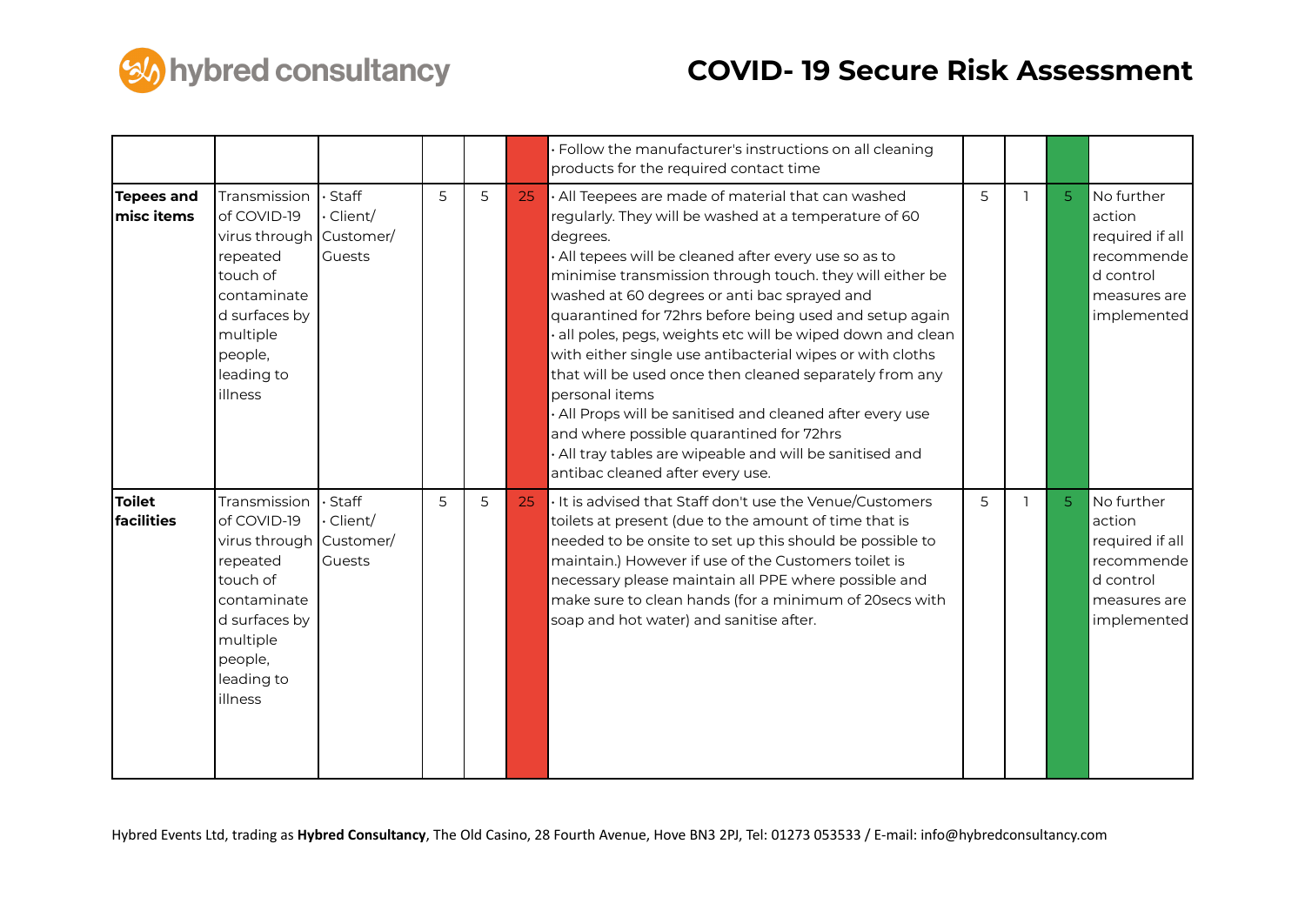

|                                 |                                                                                                                                                                |                              |   |   |    | · Follow the manufacturer's instructions on all cleaning<br>products for the required contact time                                                                                                                                                                                                                                                                                                                                                                                                                                                                                                                                                                                                                                                                      |   |                |                                                                                                   |
|---------------------------------|----------------------------------------------------------------------------------------------------------------------------------------------------------------|------------------------------|---|---|----|-------------------------------------------------------------------------------------------------------------------------------------------------------------------------------------------------------------------------------------------------------------------------------------------------------------------------------------------------------------------------------------------------------------------------------------------------------------------------------------------------------------------------------------------------------------------------------------------------------------------------------------------------------------------------------------------------------------------------------------------------------------------------|---|----------------|---------------------------------------------------------------------------------------------------|
| <b>Tepees and</b><br>misc items | Transmission<br>of COVID-19<br>virus through Customer/<br>repeated<br>touch of<br>contaminate<br>d surfaces by<br>multiple<br>people,<br>leading to<br>illness | · Staff<br>Client/<br>Guests | 5 | 5 | 25 | · All Teepees are made of material that can washed<br>regularly. They will be washed at a temperature of 60<br>degrees.<br>· All tepees will be cleaned after every use so as to<br>minimise transmission through touch. they will either be<br>washed at 60 degrees or anti bac sprayed and<br>quarantined for 72hrs before being used and setup again<br>all poles, pegs, weights etc will be wiped down and clean<br>with either single use antibacterial wipes or with cloths<br>that will be used once then cleaned separately from any<br>personal items<br>. All Props will be sanitised and cleaned after every use<br>and where possible quarantined for 72hrs<br>· All tray tables are wipeable and will be sanitised and<br>antibac cleaned after every use. | 5 | 5 <sup>1</sup> | No further<br>action<br>required if all<br>recommende<br>d control<br>measures are<br>implemented |
| <b>Toilet</b><br>facilities     | Transmission<br>of COVID-19<br>virus through Customer/<br>repeated<br>touch of<br>contaminate<br>d surfaces by<br>multiple<br>people,<br>leading to<br>illness | · Staff<br>Client/<br>Guests | 5 | 5 | 25 | It is advised that Staff don't use the Venue/Customers<br>toilets at present (due to the amount of time that is<br>needed to be onsite to set up this should be possible to<br>maintain.) However if use of the Customers toilet is<br>necessary please maintain all PPE where possible and<br>make sure to clean hands (for a minimum of 20secs with<br>soap and hot water) and sanitise after.                                                                                                                                                                                                                                                                                                                                                                        | 5 | 5 <sup>1</sup> | No further<br>action<br>required if all<br>recommende<br>d control<br>measures are<br>implemented |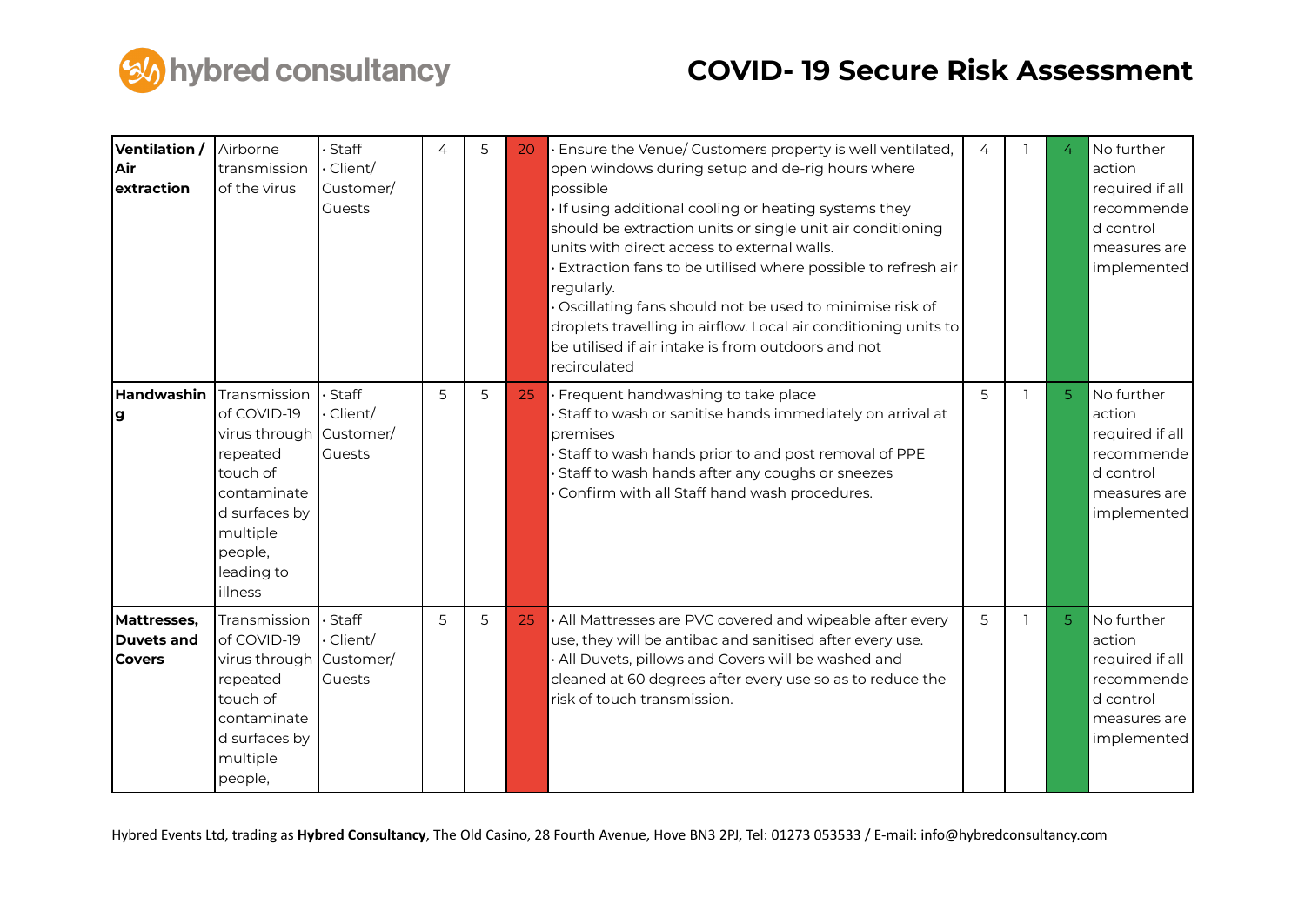

| Ventilation /<br>Air<br>extraction         | Airborne<br>transmission<br>of the virus                                                                                                                       | Staff<br>Client/<br>Customer/<br>Guests | 4 | 5 | 20 | Ensure the Venue/ Customers property is well ventilated,<br>open windows during setup and de-rig hours where<br>possible<br>If using additional cooling or heating systems they<br>should be extraction units or single unit air conditioning<br>units with direct access to external walls.<br>Extraction fans to be utilised where possible to refresh air<br>regularly.<br>Oscillating fans should not be used to minimise risk of<br>droplets travelling in airflow. Local air conditioning units to<br>be utilised if air intake is from outdoors and not<br>recirculated | 4 | 4              | No further<br>action<br>required if all<br>recommende<br>d control<br>measures are<br>implemented |
|--------------------------------------------|----------------------------------------------------------------------------------------------------------------------------------------------------------------|-----------------------------------------|---|---|----|--------------------------------------------------------------------------------------------------------------------------------------------------------------------------------------------------------------------------------------------------------------------------------------------------------------------------------------------------------------------------------------------------------------------------------------------------------------------------------------------------------------------------------------------------------------------------------|---|----------------|---------------------------------------------------------------------------------------------------|
| Handwashin<br>lg                           | Transmission<br>of COVID-19<br>virus through Customer/<br>repeated<br>touch of<br>contaminate<br>d surfaces by<br>multiple<br>people,<br>leading to<br>illness | Staff<br>Client/<br>Guests              | 5 | 5 | 25 | · Frequent handwashing to take place<br>Staff to wash or sanitise hands immediately on arrival at<br>premises<br>Staff to wash hands prior to and post removal of PPE<br>Staff to wash hands after any coughs or sneezes<br>Confirm with all Staff hand wash procedures.                                                                                                                                                                                                                                                                                                       | 5 | 5              | No further<br>action<br>required if all<br>recommende<br>d control<br>measures are<br>implemented |
| Mattresses,<br>Duvets and<br><b>Covers</b> | Transmission<br>of COVID-19<br>virus through Customer/<br>repeated<br>touch of<br>contaminate<br>d surfaces by<br>multiple<br>people,                          | · Staff<br>Client/<br>Guests            | 5 | 5 | 25 | All Mattresses are PVC covered and wipeable after every<br>use, they will be antibac and sanitised after every use.<br>All Duvets, pillows and Covers will be washed and<br>cleaned at 60 degrees after every use so as to reduce the<br>risk of touch transmission.                                                                                                                                                                                                                                                                                                           | 5 | 5 <sup>1</sup> | No further<br>action<br>required if all<br>recommende<br>d control<br>measures are<br>implemented |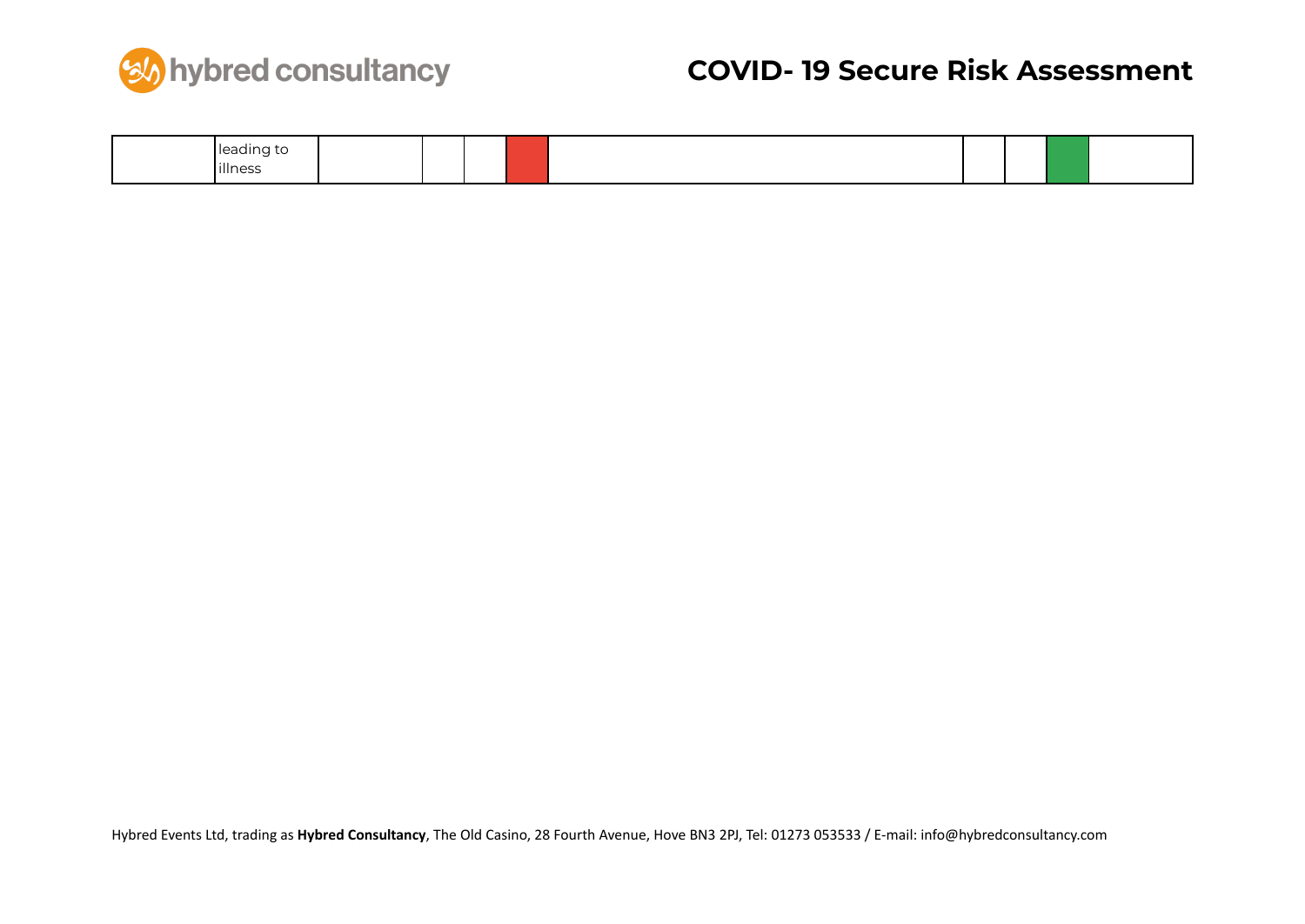

| $\cdots$<br> leading to |  |  |  |  |  |
|-------------------------|--|--|--|--|--|
| illness                 |  |  |  |  |  |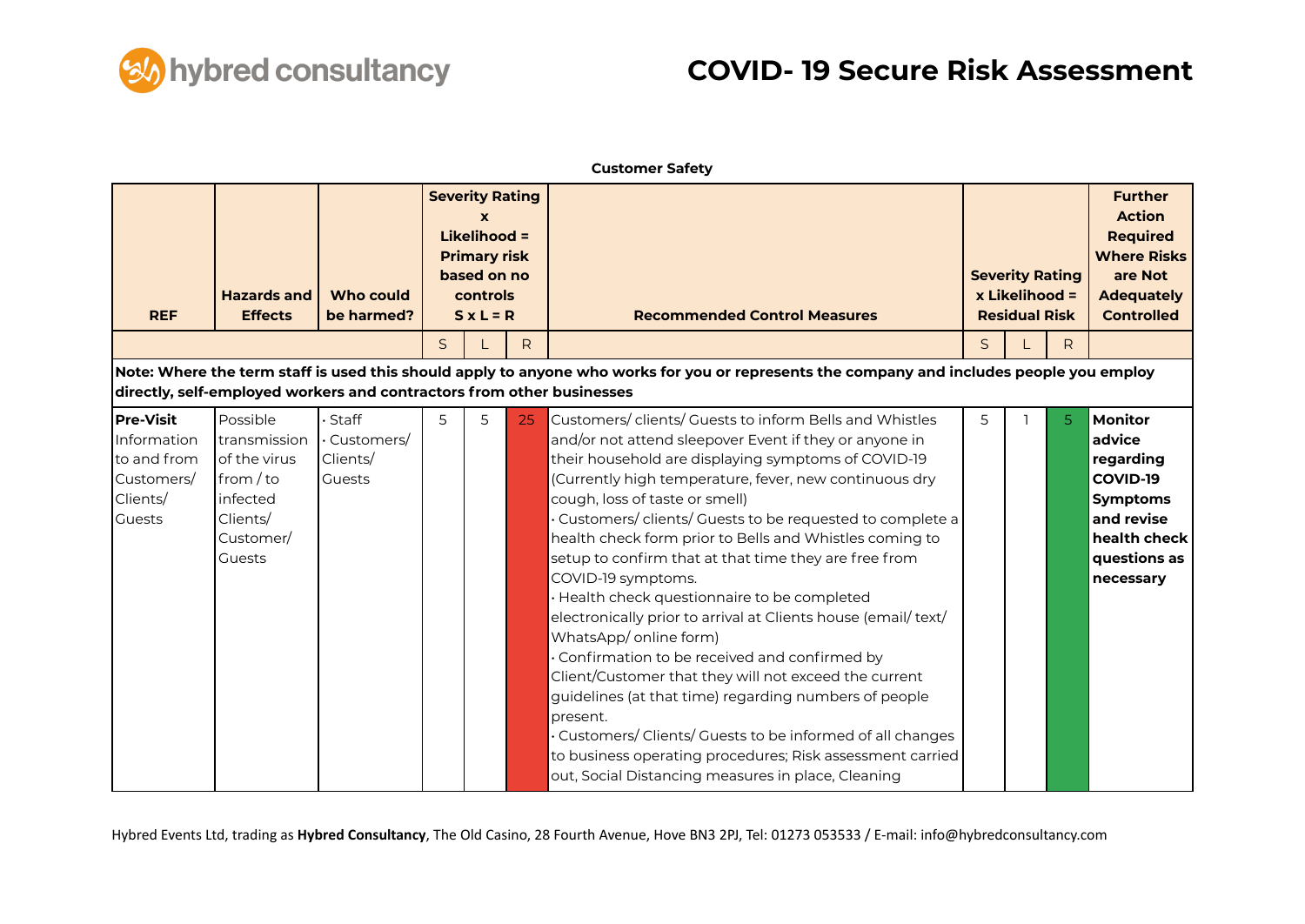

|                                                                                    |                                                                                                      |                                           |   |                                                                                                              |                                                                                                                                           | <b>Customer Safety</b>                                                                                                                                                                                                                                                                                                                                                                                                                                                                                                                                                                                                                                                                                                                                                                                                                                                                                                                                                        |                                                                  |  |    |                                                                                                                                 |
|------------------------------------------------------------------------------------|------------------------------------------------------------------------------------------------------|-------------------------------------------|---|--------------------------------------------------------------------------------------------------------------|-------------------------------------------------------------------------------------------------------------------------------------------|-------------------------------------------------------------------------------------------------------------------------------------------------------------------------------------------------------------------------------------------------------------------------------------------------------------------------------------------------------------------------------------------------------------------------------------------------------------------------------------------------------------------------------------------------------------------------------------------------------------------------------------------------------------------------------------------------------------------------------------------------------------------------------------------------------------------------------------------------------------------------------------------------------------------------------------------------------------------------------|------------------------------------------------------------------|--|----|---------------------------------------------------------------------------------------------------------------------------------|
| <b>REF</b>                                                                         | <b>Hazards and</b><br><b>Effects</b>                                                                 | <b>Who could</b><br>be harmed?            |   | <b>Severity Rating</b><br>Likelihood =<br><b>Primary risk</b><br>based on no<br>controls<br>$S \times L = R$ |                                                                                                                                           | <b>Recommended Control Measures</b>                                                                                                                                                                                                                                                                                                                                                                                                                                                                                                                                                                                                                                                                                                                                                                                                                                                                                                                                           | <b>Severity Rating</b><br>x Likelihood =<br><b>Residual Risk</b> |  |    | <b>Further</b><br><b>Action</b><br><b>Required</b><br><b>Where Risks</b><br>are Not<br><b>Adequately</b><br><b>Controlled</b>   |
|                                                                                    |                                                                                                      |                                           | S |                                                                                                              | $\mathsf{R}$                                                                                                                              |                                                                                                                                                                                                                                                                                                                                                                                                                                                                                                                                                                                                                                                                                                                                                                                                                                                                                                                                                                               | $\mathsf{S}$                                                     |  | R. |                                                                                                                                 |
|                                                                                    | directly, self-employed workers and contractors from other businesses                                |                                           |   |                                                                                                              | Note: Where the term staff is used this should apply to anyone who works for you or represents the company and includes people you employ |                                                                                                                                                                                                                                                                                                                                                                                                                                                                                                                                                                                                                                                                                                                                                                                                                                                                                                                                                                               |                                                                  |  |    |                                                                                                                                 |
| Pre-Visit<br>Information<br>to and from<br>Customers/<br>Clients/<br><b>Guests</b> | Possible<br>transmission<br>of the virus<br>from / to<br>infected<br>Clients/<br>Customer/<br>Guests | Staff<br>Customers/<br>Clients/<br>Guests | 5 | 5                                                                                                            | 25                                                                                                                                        | Customers/clients/ Guests to inform Bells and Whistles<br>and/or not attend sleepover Event if they or anyone in<br>their household are displaying symptoms of COVID-19<br>(Currently high temperature, fever, new continuous dry<br>cough, loss of taste or smell)<br>Customers/clients/ Guests to be requested to complete a<br>health check form prior to Bells and Whistles coming to<br>setup to confirm that at that time they are free from<br>COVID-19 symptoms.<br>Health check questionnaire to be completed<br>electronically prior to arrival at Clients house (email/ text/<br>WhatsApp/ online form)<br>Confirmation to be received and confirmed by<br>Client/Customer that they will not exceed the current<br>guidelines (at that time) regarding numbers of people<br>present.<br>Customers/Clients/Guests to be informed of all changes<br>to business operating procedures; Risk assessment carried<br>out, Social Distancing measures in place, Cleaning | 5                                                                |  | 5. | <b>Monitor</b><br>advice<br>regarding<br>COVID-19<br><b>Symptoms</b><br>and revise<br>health check<br>questions as<br>necessary |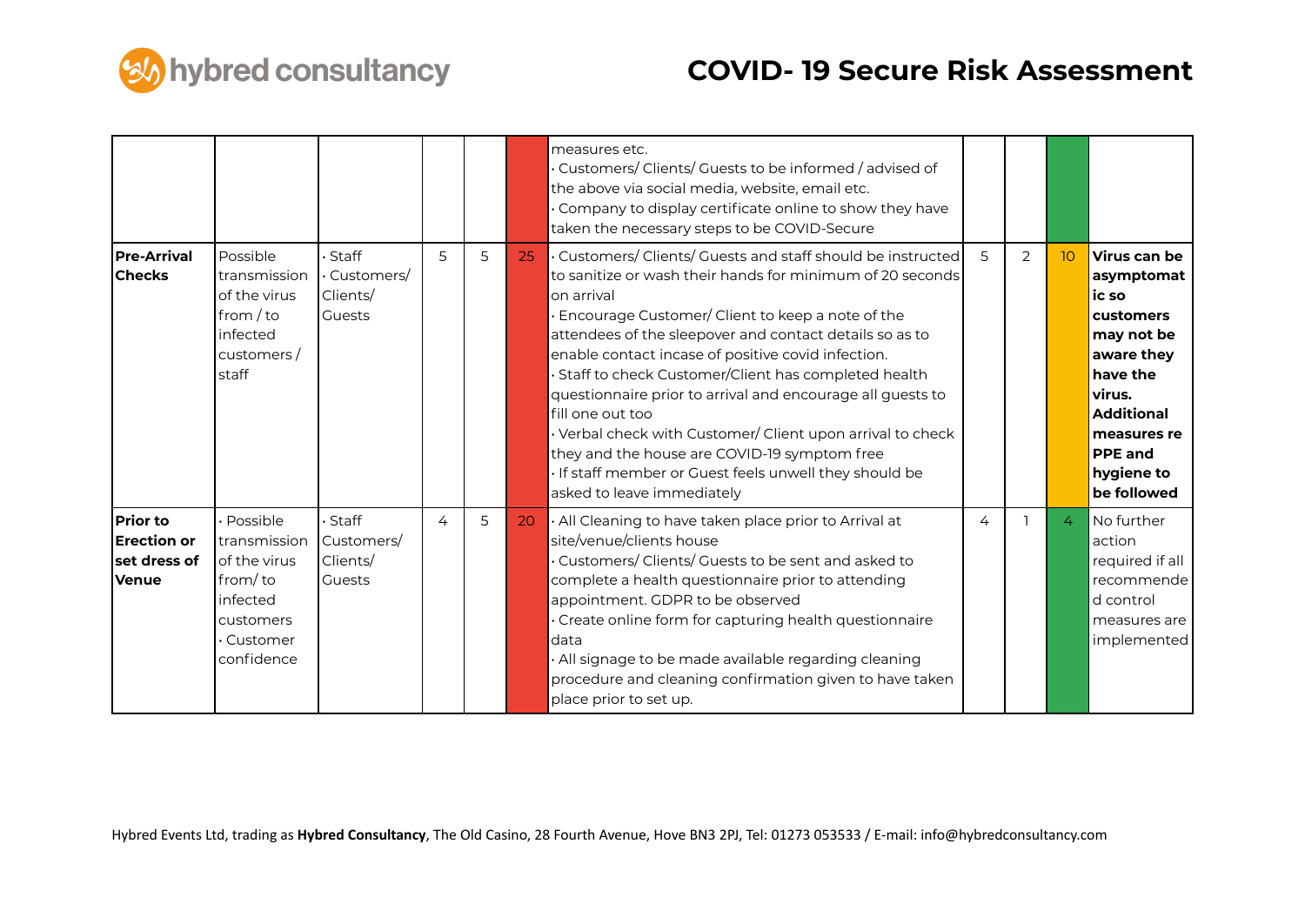

|                                                                       |                                                                                                          |                                                  |                |   |    | measures etc.<br>Customers/ Clients/ Guests to be informed / advised of<br>the above via social media, website, email etc.<br>Company to display certificate online to show they have<br>taken the necessary steps to be COVID-Secure                                                                                                                                                                                                                                                                                                                                                                                                              |   |               |                  |                                                                                                                                                                                       |
|-----------------------------------------------------------------------|----------------------------------------------------------------------------------------------------------|--------------------------------------------------|----------------|---|----|----------------------------------------------------------------------------------------------------------------------------------------------------------------------------------------------------------------------------------------------------------------------------------------------------------------------------------------------------------------------------------------------------------------------------------------------------------------------------------------------------------------------------------------------------------------------------------------------------------------------------------------------------|---|---------------|------------------|---------------------------------------------------------------------------------------------------------------------------------------------------------------------------------------|
| <b>Pre-Arrival</b><br><b>Checks</b>                                   | Possible<br>transmission<br>of the virus<br>from / to<br>infected<br>customers/<br>staff                 | Staff<br>Customers/<br>Clients/<br><b>Guests</b> | 5              | 5 | 25 | Customers/Clients/Guests and staff should be instructed<br>to sanitize or wash their hands for minimum of 20 seconds<br>on arrival<br>Encourage Customer/ Client to keep a note of the<br>attendees of the sleepover and contact details so as to<br>enable contact incase of positive covid infection.<br>Staff to check Customer/Client has completed health<br>questionnaire prior to arrival and encourage all guests to<br>fill one out too<br>Verbal check with Customer/ Client upon arrival to check<br>they and the house are COVID-19 symptom free<br>If staff member or Guest feels unwell they should be<br>asked to leave immediately | 5 | $\mathcal{P}$ | 10 <sup>10</sup> | Virus can be<br>asymptomat<br>ic so<br>customers<br>may not be<br>aware they<br>have the<br>virus.<br><b>Additional</b><br>measures re<br><b>PPE</b> and<br>hygiene to<br>be followed |
| <b>Prior to</b><br><b>Erection</b> or<br>set dress of<br><b>Venue</b> | Possible<br>transmission<br>of the virus<br>from/to<br>infected<br>customers<br>· Customer<br>confidence | Staff<br>Customers/<br>Clients/<br><b>Guests</b> | $\overline{4}$ | 5 | 20 | All Cleaning to have taken place prior to Arrival at<br>site/venue/clients house<br>Customers/Clients/Guests to be sent and asked to<br>complete a health questionnaire prior to attending<br>appointment. GDPR to be observed<br>Create online form for capturing health questionnaire<br>data<br>· All signage to be made available regarding cleaning<br>procedure and cleaning confirmation given to have taken<br>place prior to set up.                                                                                                                                                                                                      | 4 |               | 4                | No further<br>action<br>required if all<br>recommende<br>d control<br>measures are<br>implemented                                                                                     |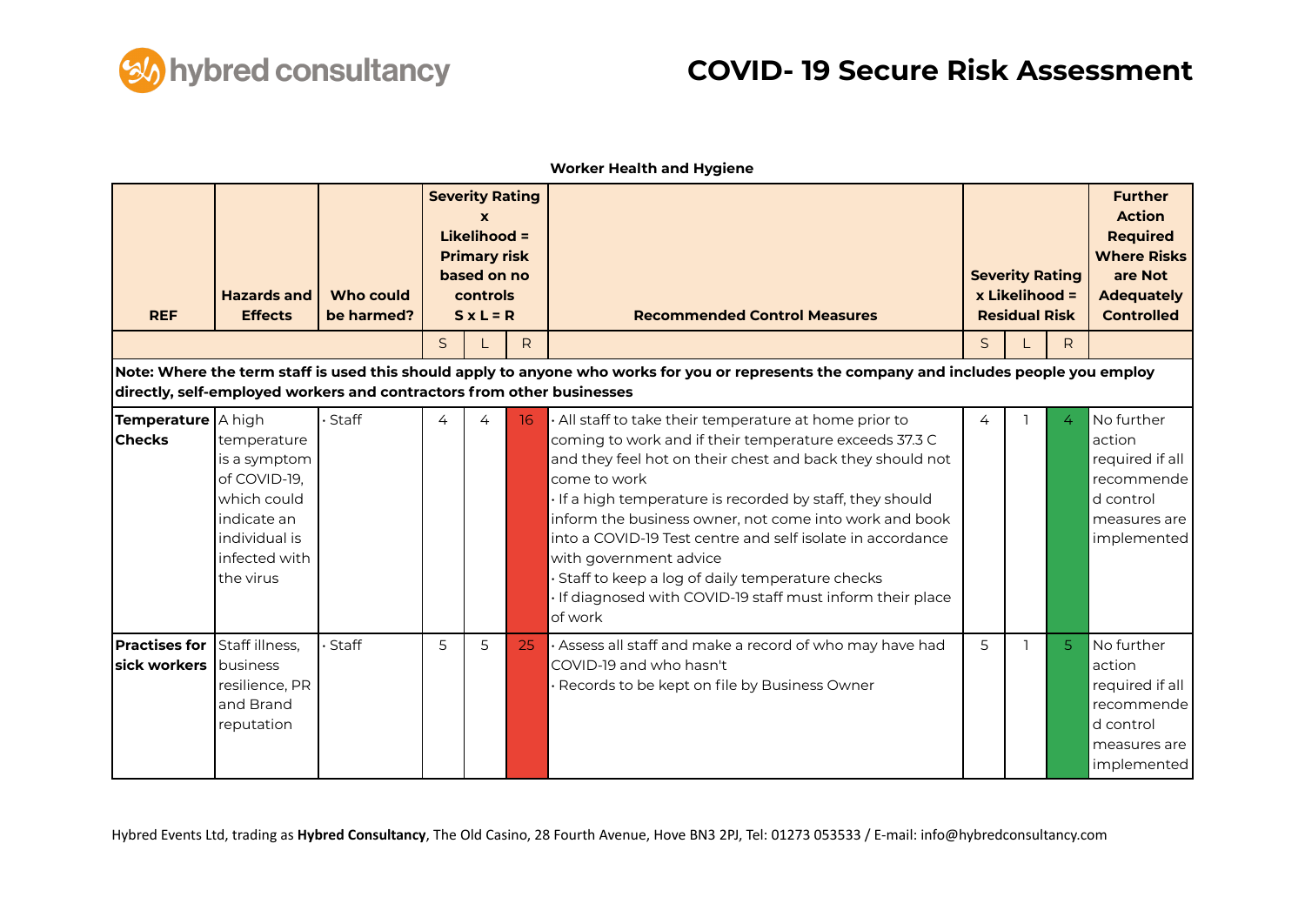

| <b>REF</b>                            | <b>Hazards and</b><br><b>Effects</b>                                                                                     | Who could<br>be harmed? |   | <b>Severity Rating</b><br><b>Likelihood =</b><br><b>Primary risk</b><br>based on no<br>controls<br>$S \times L = R$ |              | <b>Recommended Control Measures</b>                                                                                                                                                                                                                                                                                                                                                                                                                                                                                                |              | <b>Severity Rating</b><br>x Likelihood =<br><b>Residual Risk</b> |                | <b>Further</b><br><b>Action</b><br><b>Required</b><br><b>Where Risks</b><br>are Not<br><b>Adequately</b><br><b>Controlled</b> |
|---------------------------------------|--------------------------------------------------------------------------------------------------------------------------|-------------------------|---|---------------------------------------------------------------------------------------------------------------------|--------------|------------------------------------------------------------------------------------------------------------------------------------------------------------------------------------------------------------------------------------------------------------------------------------------------------------------------------------------------------------------------------------------------------------------------------------------------------------------------------------------------------------------------------------|--------------|------------------------------------------------------------------|----------------|-------------------------------------------------------------------------------------------------------------------------------|
|                                       |                                                                                                                          |                         | S |                                                                                                                     | $\mathsf{R}$ |                                                                                                                                                                                                                                                                                                                                                                                                                                                                                                                                    | $\mathsf{S}$ |                                                                  | R.             |                                                                                                                               |
|                                       | directly, self-employed workers and contractors from other businesses                                                    |                         |   |                                                                                                                     |              | Note: Where the term staff is used this should apply to anyone who works for you or represents the company and includes people you employ                                                                                                                                                                                                                                                                                                                                                                                          |              |                                                                  |                |                                                                                                                               |
| Temperature   A high<br><b>Checks</b> | temperature<br>is a symptom<br>of COVID-19,<br>which could<br>indicate an<br>individual is<br>infected with<br>the virus | Staff                   | 4 | 4                                                                                                                   | 16           | All staff to take their temperature at home prior to<br>coming to work and if their temperature exceeds 37.3 C<br>and they feel hot on their chest and back they should not<br>come to work<br>If a high temperature is recorded by staff, they should<br>inform the business owner, not come into work and book<br>into a COVID-19 Test centre and self isolate in accordance<br>with government advice<br>Staff to keep a log of daily temperature checks<br>If diagnosed with COVID-19 staff must inform their place<br>of work | 4            |                                                                  | $\overline{4}$ | No further<br>action<br>required if all<br>recommende<br>d control<br>measures are<br>implemented                             |
| <b>Practises for</b><br>sick workers  | Staff illness,<br>business<br>resilience, PR<br>and Brand<br>reputation                                                  | Staff                   | 5 | 5                                                                                                                   | 25           | · Assess all staff and make a record of who may have had<br>COVID-19 and who hasn't<br>Records to be kept on file by Business Owner                                                                                                                                                                                                                                                                                                                                                                                                | 5            |                                                                  | 5 <sup>1</sup> | No further<br>action<br>required if all<br>recommende<br>d control<br>measures are<br>implemented                             |

**Worker Health and Hygiene**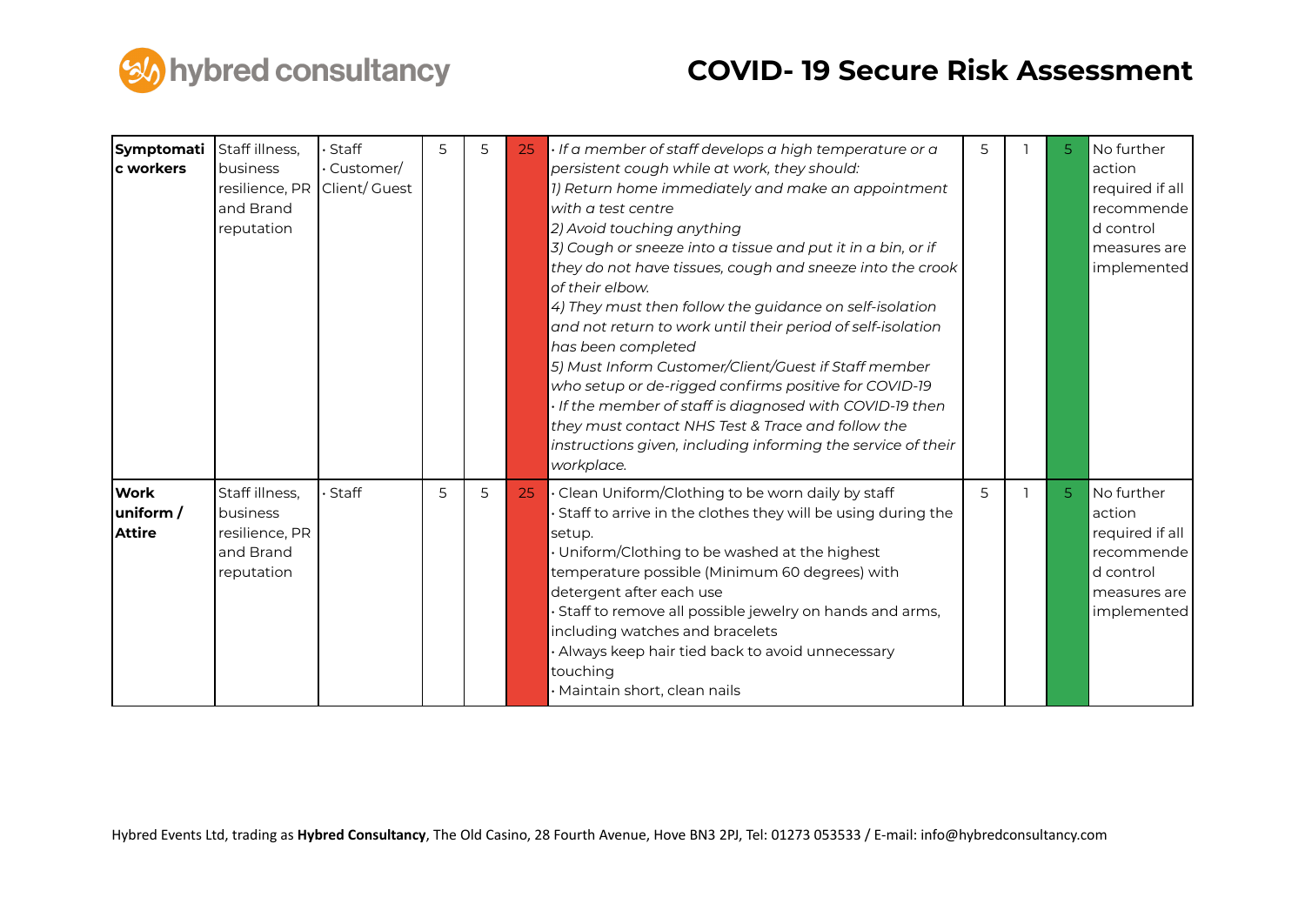

| <b>Symptomati</b><br>c workers           | Staff illness,<br>business<br>resilience, PR<br>and Brand<br>reputation | Staff<br>$\cdot$ Customer/<br>Client/ Guest | 5 | 5 | 25 | · If a member of staff develops a high temperature or a<br>persistent cough while at work, they should:<br>1) Return home immediately and make an appointment<br>with a test centre<br>2) Avoid touching anything<br>3) Cough or sneeze into a tissue and put it in a bin, or if<br>they do not have tissues, cough and sneeze into the crook<br>of their elbow.<br>4) They must then follow the guidance on self-isolation<br>and not return to work until their period of self-isolation<br>has been completed<br>5) Must Inform Customer/Client/Guest if Staff member<br>who setup or de-rigged confirms positive for COVID-19<br>. If the member of staff is diagnosed with COVID-19 then<br>they must contact NHS Test & Trace and follow the<br>instructions given, including informing the service of their<br>workplace. | 5 | 5              | No further<br>action<br>required if all<br>recommende<br>d control<br>measures are<br>implemented |
|------------------------------------------|-------------------------------------------------------------------------|---------------------------------------------|---|---|----|----------------------------------------------------------------------------------------------------------------------------------------------------------------------------------------------------------------------------------------------------------------------------------------------------------------------------------------------------------------------------------------------------------------------------------------------------------------------------------------------------------------------------------------------------------------------------------------------------------------------------------------------------------------------------------------------------------------------------------------------------------------------------------------------------------------------------------|---|----------------|---------------------------------------------------------------------------------------------------|
| <b>Work</b><br>uniform/<br><b>Attire</b> | Staff illness,<br>business<br>resilience, PR<br>and Brand<br>reputation | Staff                                       | 5 | 5 | 25 | · Clean Uniform/Clothing to be worn daily by staff<br>Staff to arrive in the clothes they will be using during the<br>setup.<br>· Uniform/Clothing to be washed at the highest<br>temperature possible (Minimum 60 degrees) with<br>detergent after each use<br>· Staff to remove all possible jewelry on hands and arms,<br>including watches and bracelets<br>· Always keep hair tied back to avoid unnecessary<br>touching<br>· Maintain short, clean nails                                                                                                                                                                                                                                                                                                                                                                   | 5 | 5 <sup>1</sup> | No further<br>action<br>required if all<br>recommende<br>d control<br>measures are<br>implemented |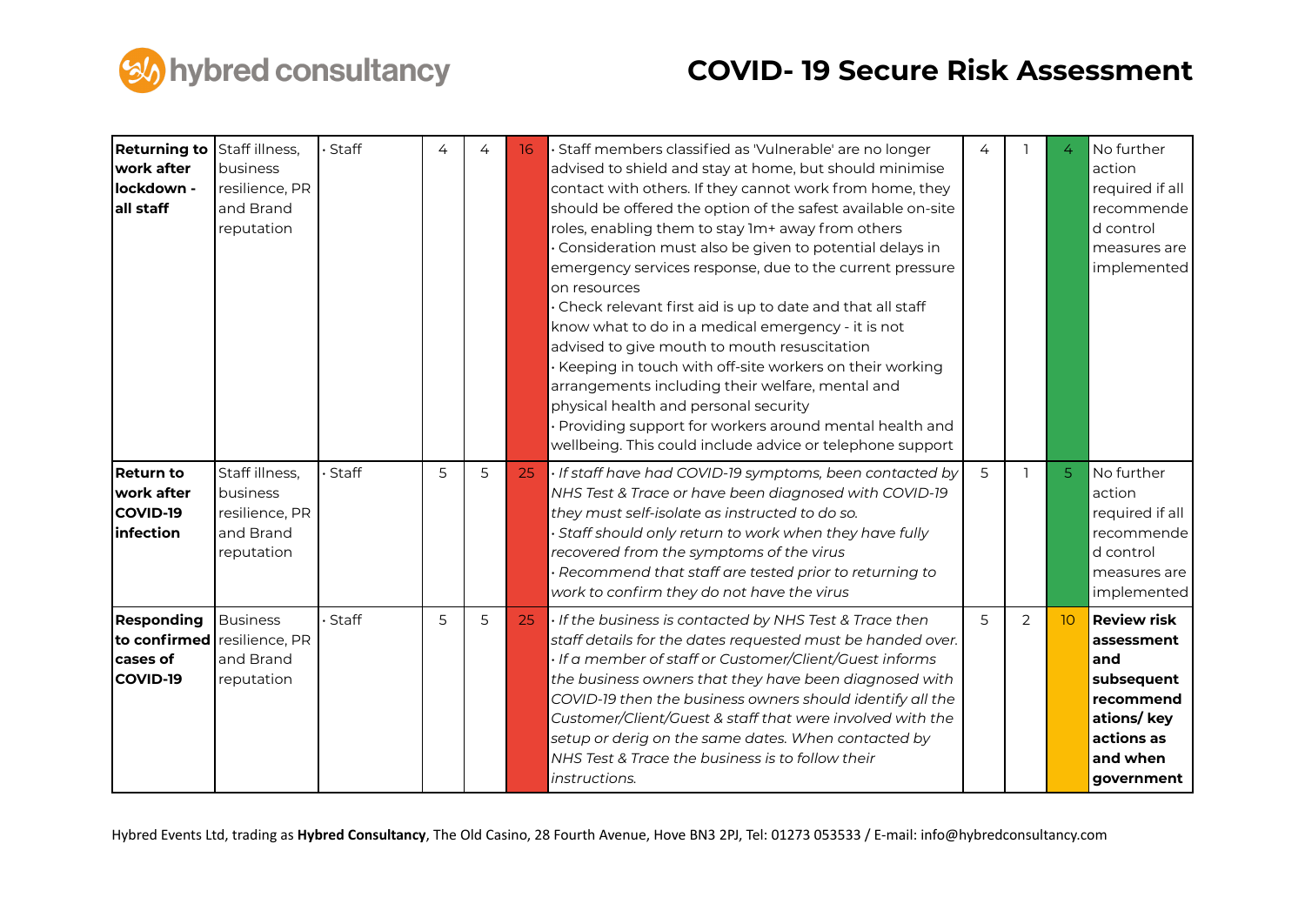

| <b>Returning to</b><br>work after<br>lockdown -<br>all staff          | Staff illness,<br>business<br>resilience, PR<br>and Brand<br>reputation | Staff   | 4 | 4 | 16 | · Staff members classified as 'Vulnerable' are no longer<br>advised to shield and stay at home, but should minimise<br>contact with others. If they cannot work from home, they<br>should be offered the option of the safest available on-site<br>roles, enabling them to stay 1m+ away from others<br>· Consideration must also be given to potential delays in<br>emergency services response, due to the current pressure<br>on resources<br>· Check relevant first aid is up to date and that all staff<br>know what to do in a medical emergency - it is not<br>advised to give mouth to mouth resuscitation<br>· Keeping in touch with off-site workers on their working<br>arrangements including their welfare, mental and<br>physical health and personal security<br>· Providing support for workers around mental health and<br>wellbeing. This could include advice or telephone support | 4 |                | 4              | No further<br>action<br>required if all<br>recommende<br>d control<br>measures are<br>implemented                         |
|-----------------------------------------------------------------------|-------------------------------------------------------------------------|---------|---|---|----|-------------------------------------------------------------------------------------------------------------------------------------------------------------------------------------------------------------------------------------------------------------------------------------------------------------------------------------------------------------------------------------------------------------------------------------------------------------------------------------------------------------------------------------------------------------------------------------------------------------------------------------------------------------------------------------------------------------------------------------------------------------------------------------------------------------------------------------------------------------------------------------------------------|---|----------------|----------------|---------------------------------------------------------------------------------------------------------------------------|
| <b>Return to</b><br>work after<br><b>COVID-19</b><br><b>infection</b> | Staff illness,<br>business<br>resilience, PR<br>and Brand<br>reputation | Staff   | 5 | 5 | 25 | · If staff have had COVID-19 symptoms, been contacted by<br>NHS Test & Trace or have been diagnosed with COVID-19<br>they must self-isolate as instructed to do so.<br>Staff should only return to work when they have fully<br>recovered from the symptoms of the virus<br>· Recommend that staff are tested prior to returning to<br>work to confirm they do not have the virus                                                                                                                                                                                                                                                                                                                                                                                                                                                                                                                     | 5 |                | 5 <sup>1</sup> | No further<br>action<br>required if all<br>recommende<br>d control<br>measures are<br>implemented                         |
| Responding<br>to confirmed<br>cases of<br>COVID-19                    | <b>Business</b><br>resilience, PR<br>and Brand<br>reputation            | · Staff | 5 | 5 | 25 | . If the business is contacted by NHS Test & Trace then<br>staff details for the dates requested must be handed over.<br>If a member of staff or Customer/Client/Guest informs<br>the business owners that they have been diagnosed with<br>COVID-19 then the business owners should identify all the<br>Customer/Client/Guest & staff that were involved with the<br>setup or derig on the same dates. When contacted by<br>NHS Test & Trace the business is to follow their<br>instructions.                                                                                                                                                                                                                                                                                                                                                                                                        | 5 | $\overline{2}$ | 10             | <b>Review risk</b><br>assessment<br>land<br>subsequent<br>recommend<br>ations/key<br>actions as<br>and when<br>government |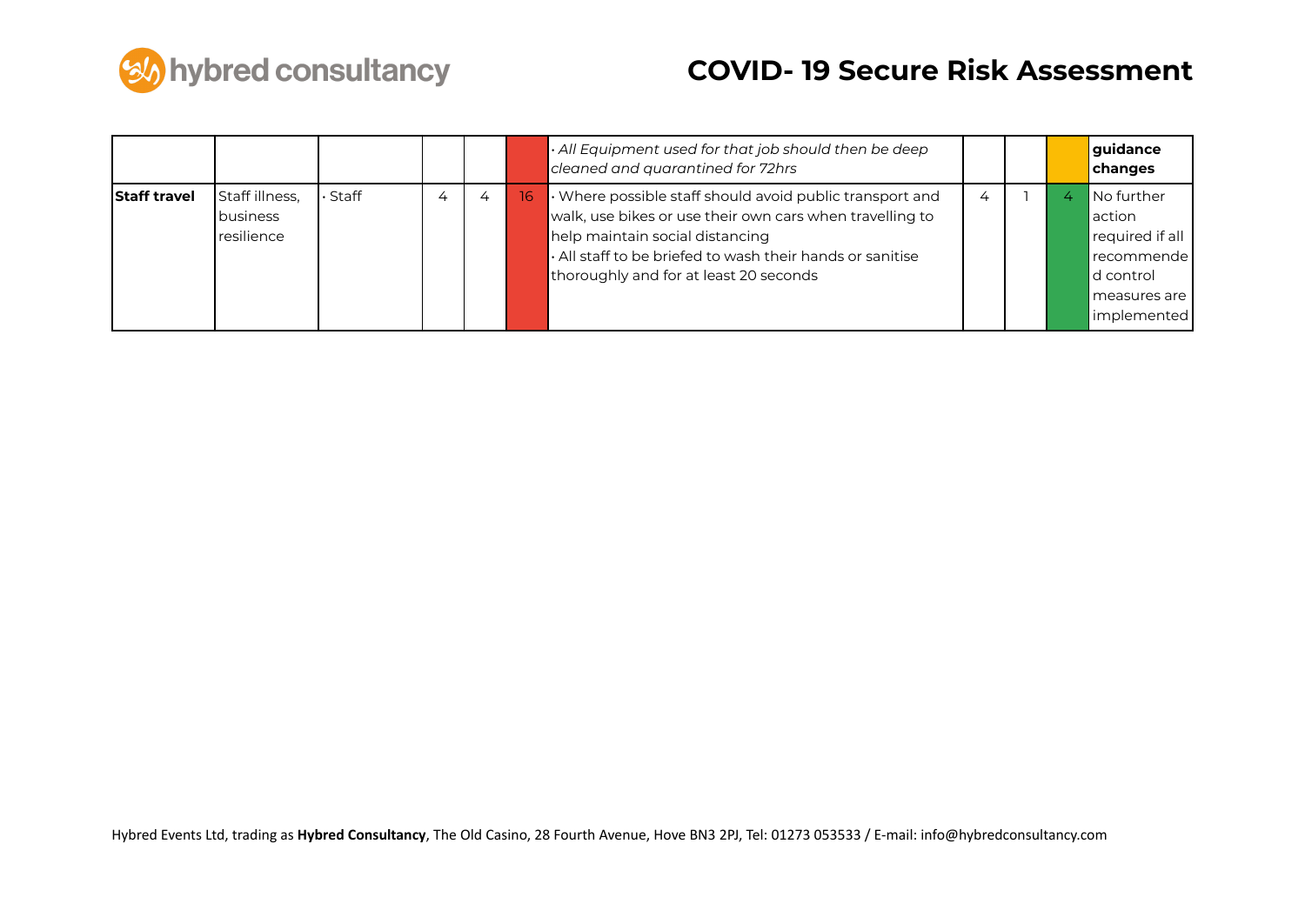

|                     |                                          |       |   |   |    | $\cdot$ All Equipment used for that job should then be deep<br>cleaned and quarantined for 72hrs                                                                                                                                                                     |                |  | guidance<br>changes                                                                                    |
|---------------------|------------------------------------------|-------|---|---|----|----------------------------------------------------------------------------------------------------------------------------------------------------------------------------------------------------------------------------------------------------------------------|----------------|--|--------------------------------------------------------------------------------------------------------|
| <b>Staff travel</b> | Staff illness,<br>business<br>resilience | Staff | 4 | 4 | 16 | $\cdot$ Where possible staff should avoid public transport and<br>walk, use bikes or use their own cars when travelling to<br>help maintain social distancing<br>. All staff to be briefed to wash their hands or sanitise<br>thoroughly and for at least 20 seconds | $\overline{4}$ |  | No further<br>laction<br>required if all<br>recommende<br>ld control<br>l measures are<br>limplemented |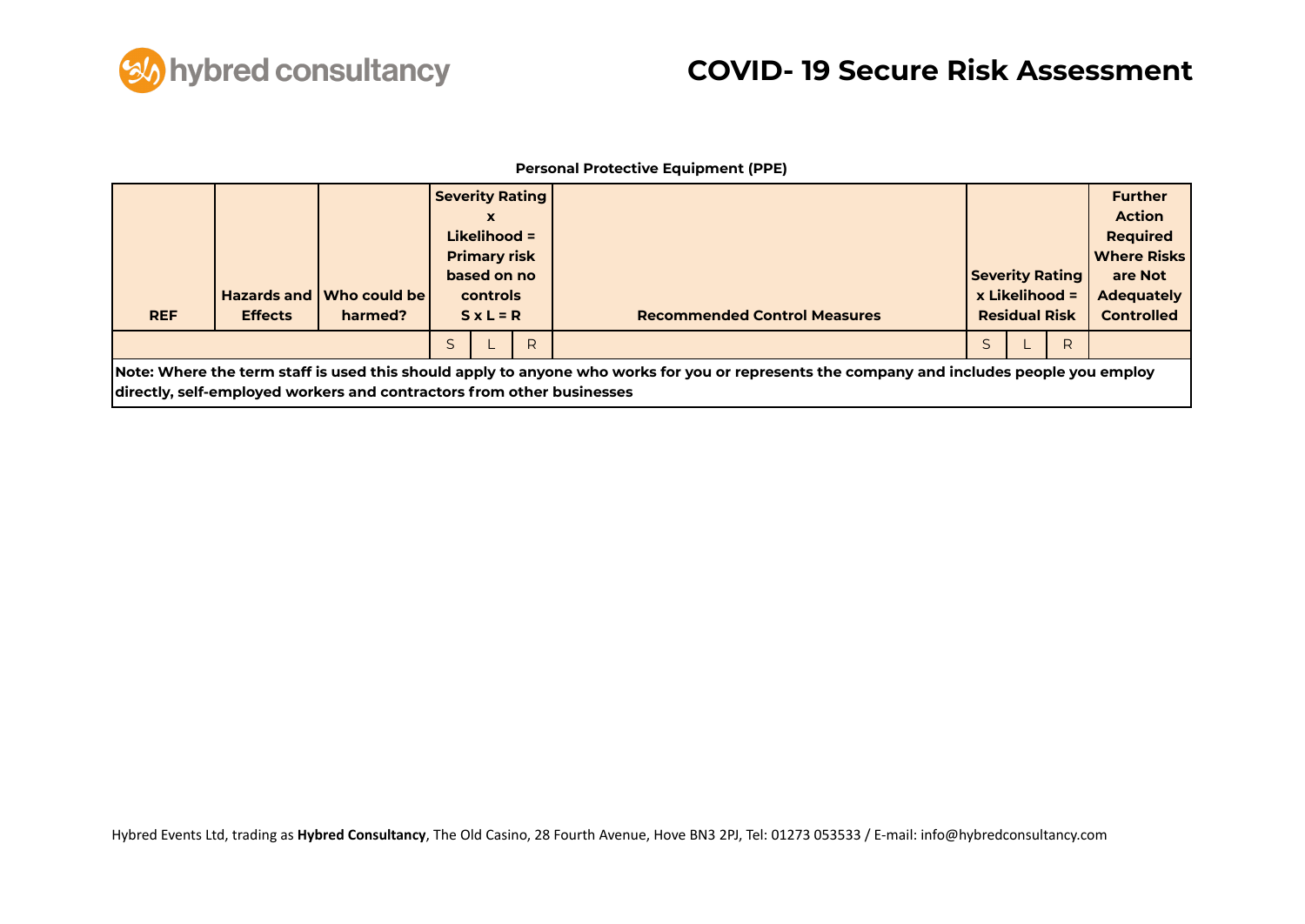

#### **Personal Protective Equipment (PPE)**

| <b>REF</b> | <b>Effects</b> | Hazards and Who could be<br>harmed?                                   | <b>Severity Rating</b><br>x<br>Likelihood $=$<br><b>Primary risk</b><br>based on no<br>controls<br>$S \times L = R$ |   | <b>Recommended Control Measures</b>                                                                                                       | <b>Severity Rating</b> | $x$ Likelihood =<br><b>Residual Risk</b> |   | <b>Further</b><br><b>Action</b><br><b>Required</b><br><b>Where Risks</b><br>are Not<br><b>Adequately</b><br><b>Controlled</b> |
|------------|----------------|-----------------------------------------------------------------------|---------------------------------------------------------------------------------------------------------------------|---|-------------------------------------------------------------------------------------------------------------------------------------------|------------------------|------------------------------------------|---|-------------------------------------------------------------------------------------------------------------------------------|
|            |                |                                                                       |                                                                                                                     | R |                                                                                                                                           |                        |                                          | R |                                                                                                                               |
|            |                | directly, self-employed workers and contractors from other businesses |                                                                                                                     |   | Note: Where the term staff is used this should apply to anyone who works for you or represents the company and includes people you employ |                        |                                          |   |                                                                                                                               |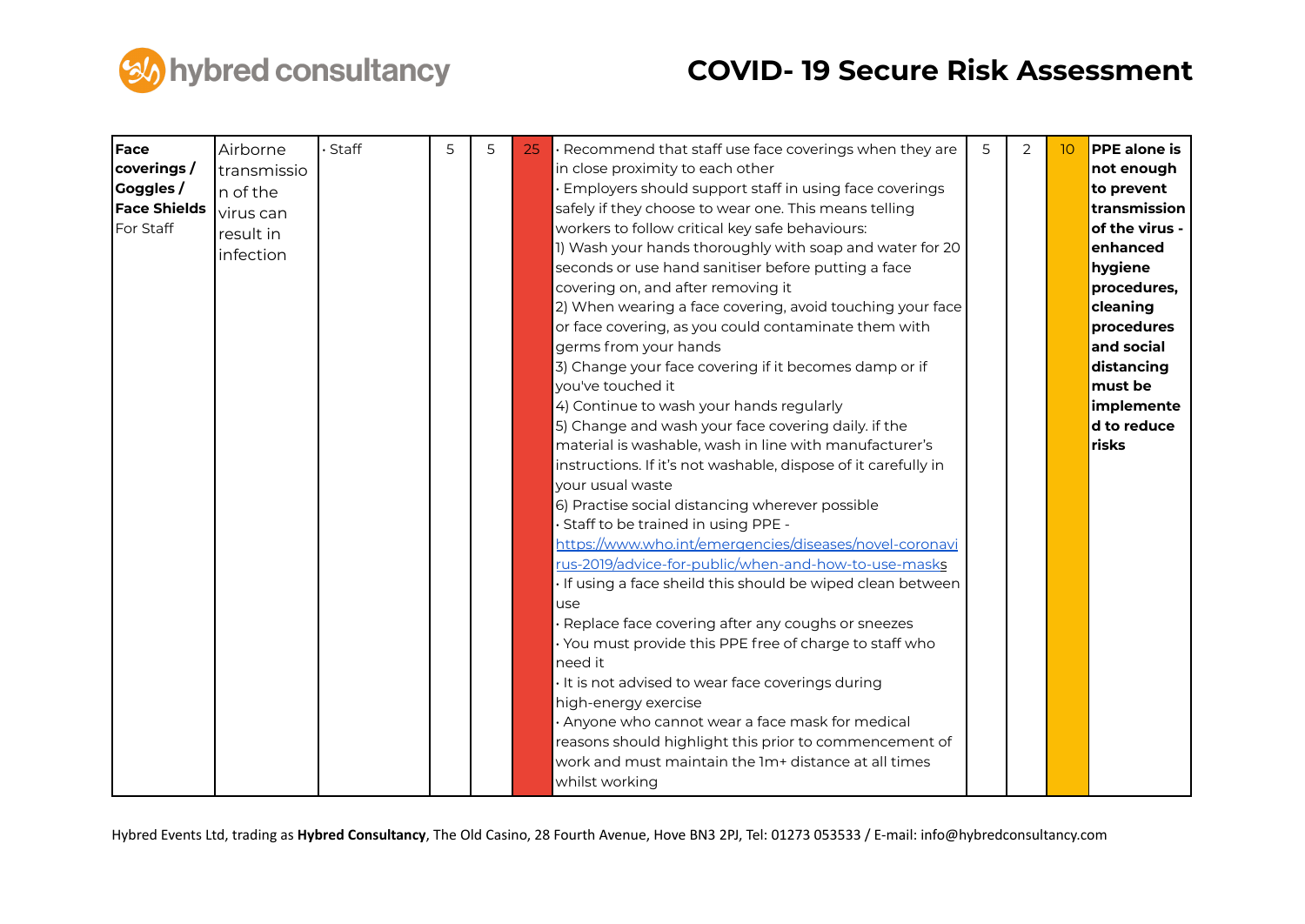

| Face<br>coverings/<br>Goggles /<br><b>Face Shields</b><br>For Staff | Airborne<br>transmissio<br>n of the<br>virus can<br>result in<br>infection | · Staff | 5 | 5 | 25 | Recommend that staff use face coverings when they are<br>in close proximity to each other<br>Employers should support staff in using face coverings<br>safely if they choose to wear one. This means telling<br>workers to follow critical key safe behaviours:<br>1) Wash your hands thoroughly with soap and water for 20<br>seconds or use hand sanitiser before putting a face<br>covering on, and after removing it<br>2) When wearing a face covering, avoid touching your face<br>or face covering, as you could contaminate them with<br>germs from your hands<br>3) Change your face covering if it becomes damp or if<br>you've touched it<br>4) Continue to wash your hands regularly<br>5) Change and wash your face covering daily. if the<br>material is washable, wash in line with manufacturer's<br>instructions. If it's not washable, dispose of it carefully in<br>your usual waste<br>6) Practise social distancing wherever possible<br>Staff to be trained in using PPE -<br><u>https://www.who.int/emergencies/diseases/novel-coronavi</u><br>rus-2019/advice-for-public/when-and-how-to-use-masks<br>If using a face sheild this should be wiped clean between<br>use<br>Replace face covering after any coughs or sneezes<br>· You must provide this PPE free of charge to staff who<br>need it<br>It is not advised to wear face coverings during<br>high-energy exercise<br>Anyone who cannot wear a face mask for medical<br>reasons should highlight this prior to commencement of<br>work and must maintain the 1m+ distance at all times<br>whilst working | 5 | 2 | 10 | <b>PPE</b> alone is<br>not enough<br>to prevent<br>transmission<br>of the virus -<br>enhanced<br>hygiene<br>procedures,<br>cleaning<br>procedures<br>and social<br>distancing<br>must be<br>implemente<br>d to reduce<br>risks |
|---------------------------------------------------------------------|----------------------------------------------------------------------------|---------|---|---|----|--------------------------------------------------------------------------------------------------------------------------------------------------------------------------------------------------------------------------------------------------------------------------------------------------------------------------------------------------------------------------------------------------------------------------------------------------------------------------------------------------------------------------------------------------------------------------------------------------------------------------------------------------------------------------------------------------------------------------------------------------------------------------------------------------------------------------------------------------------------------------------------------------------------------------------------------------------------------------------------------------------------------------------------------------------------------------------------------------------------------------------------------------------------------------------------------------------------------------------------------------------------------------------------------------------------------------------------------------------------------------------------------------------------------------------------------------------------------------------------------------------------------------------------------------------------------------------------------|---|---|----|--------------------------------------------------------------------------------------------------------------------------------------------------------------------------------------------------------------------------------|
|---------------------------------------------------------------------|----------------------------------------------------------------------------|---------|---|---|----|--------------------------------------------------------------------------------------------------------------------------------------------------------------------------------------------------------------------------------------------------------------------------------------------------------------------------------------------------------------------------------------------------------------------------------------------------------------------------------------------------------------------------------------------------------------------------------------------------------------------------------------------------------------------------------------------------------------------------------------------------------------------------------------------------------------------------------------------------------------------------------------------------------------------------------------------------------------------------------------------------------------------------------------------------------------------------------------------------------------------------------------------------------------------------------------------------------------------------------------------------------------------------------------------------------------------------------------------------------------------------------------------------------------------------------------------------------------------------------------------------------------------------------------------------------------------------------------------|---|---|----|--------------------------------------------------------------------------------------------------------------------------------------------------------------------------------------------------------------------------------|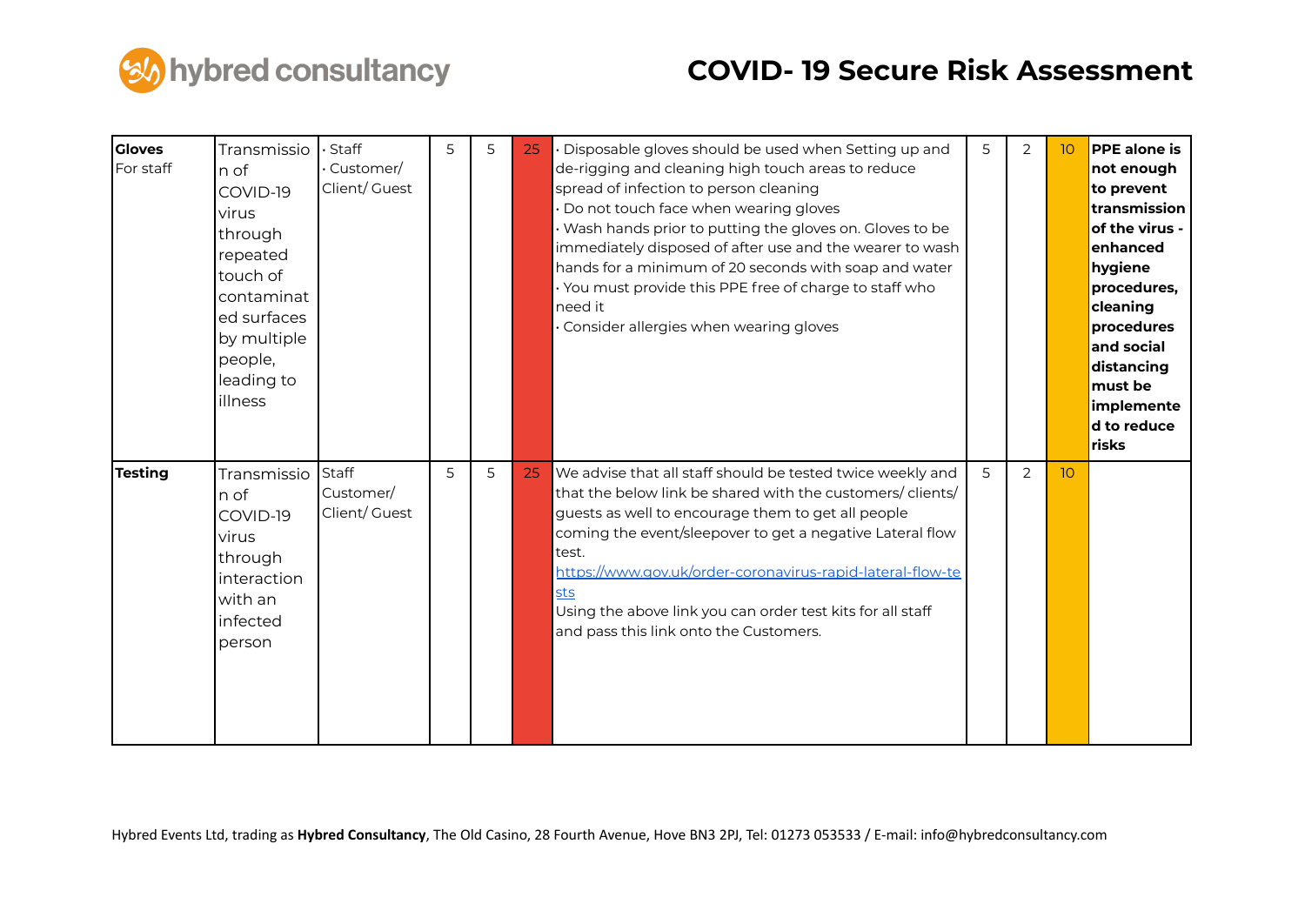

| <b>Gloves</b><br>For staff | Transmissio<br>n of<br>COVID-19<br>virus<br>through<br>repeated<br>touch of<br>contaminat<br>ed surfaces<br>by multiple<br>people,<br>leading to<br>illness | · Staff<br>Customer/<br>Client/ Guest | 5 | 5 | 25 | Disposable gloves should be used when Setting up and<br>de-rigging and cleaning high touch areas to reduce<br>spread of infection to person cleaning<br>Do not touch face when wearing gloves<br>Wash hands prior to putting the gloves on. Gloves to be<br>immediately disposed of after use and the wearer to wash<br>hands for a minimum of 20 seconds with soap and water<br>You must provide this PPE free of charge to staff who<br>need it<br>Consider allergies when wearing gloves | 5 | 2 | 10              | <b>PPE</b> alone is<br>not enough<br>to prevent<br>transmission<br>of the virus -<br>enhanced<br>hygiene<br>procedures,<br>cleaning<br><b>procedures</b><br>and social<br>distancing<br>must be<br>implemente<br>d to reduce<br>risks |
|----------------------------|-------------------------------------------------------------------------------------------------------------------------------------------------------------|---------------------------------------|---|---|----|---------------------------------------------------------------------------------------------------------------------------------------------------------------------------------------------------------------------------------------------------------------------------------------------------------------------------------------------------------------------------------------------------------------------------------------------------------------------------------------------|---|---|-----------------|---------------------------------------------------------------------------------------------------------------------------------------------------------------------------------------------------------------------------------------|
| <b>Testing</b>             | Transmissio<br>n of<br>COVID-19<br>virus<br>through<br>interaction<br>with an<br>infected<br>person                                                         | Staff<br>Customer/<br>Client/ Guest   | 5 | 5 | 25 | We advise that all staff should be tested twice weekly and<br>that the below link be shared with the customers/ clients/<br>guests as well to encourage them to get all people<br>coming the event/sleepover to get a negative Lateral flow<br>test.<br>https://www.gov.uk/order-coronavirus-rapid-lateral-flow-te<br>sts<br>Using the above link you can order test kits for all staff<br>and pass this link onto the Customers.                                                           | 5 | 2 | 10 <sup>°</sup> |                                                                                                                                                                                                                                       |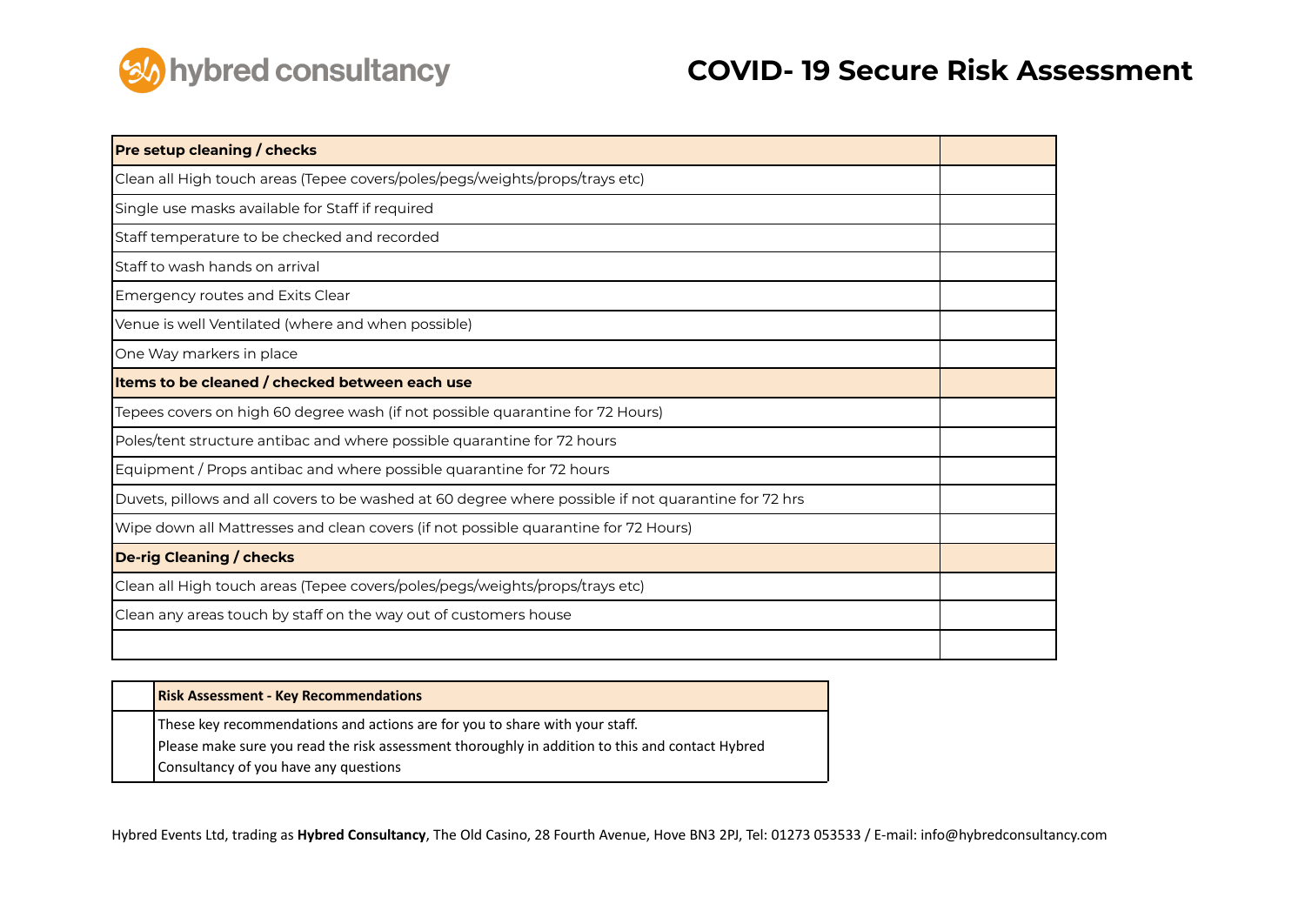

| <b>Pre setup cleaning / checks</b>                                                                   |  |
|------------------------------------------------------------------------------------------------------|--|
| Clean all High touch areas (Tepee covers/poles/pegs/weights/props/trays etc)                         |  |
| Single use masks available for Staff if required                                                     |  |
| Staff temperature to be checked and recorded                                                         |  |
| Staff to wash hands on arrival                                                                       |  |
| Emergency routes and Exits Clear                                                                     |  |
| Venue is well Ventilated (where and when possible)                                                   |  |
| One Way markers in place                                                                             |  |
| Items to be cleaned / checked between each use                                                       |  |
| Tepees covers on high 60 degree wash (if not possible quarantine for 72 Hours)                       |  |
| Poles/tent structure antibac and where possible quarantine for 72 hours                              |  |
| Equipment / Props antibac and where possible quarantine for 72 hours                                 |  |
| Duvets, pillows and all covers to be washed at 60 degree where possible if not quarantine for 72 hrs |  |
| Wipe down all Mattresses and clean covers (if not possible quarantine for 72 Hours)                  |  |
| <b>De-rig Cleaning / checks</b>                                                                      |  |
| Clean all High touch areas (Tepee covers/poles/pegs/weights/props/trays etc)                         |  |
| Clean any areas touch by staff on the way out of customers house                                     |  |
|                                                                                                      |  |

| <b>Risk Assessment - Key Recommendations</b>                                                    |
|-------------------------------------------------------------------------------------------------|
| These key recommendations and actions are for you to share with your staff.                     |
| Please make sure you read the risk assessment thoroughly in addition to this and contact Hybred |
| Consultancy of you have any questions                                                           |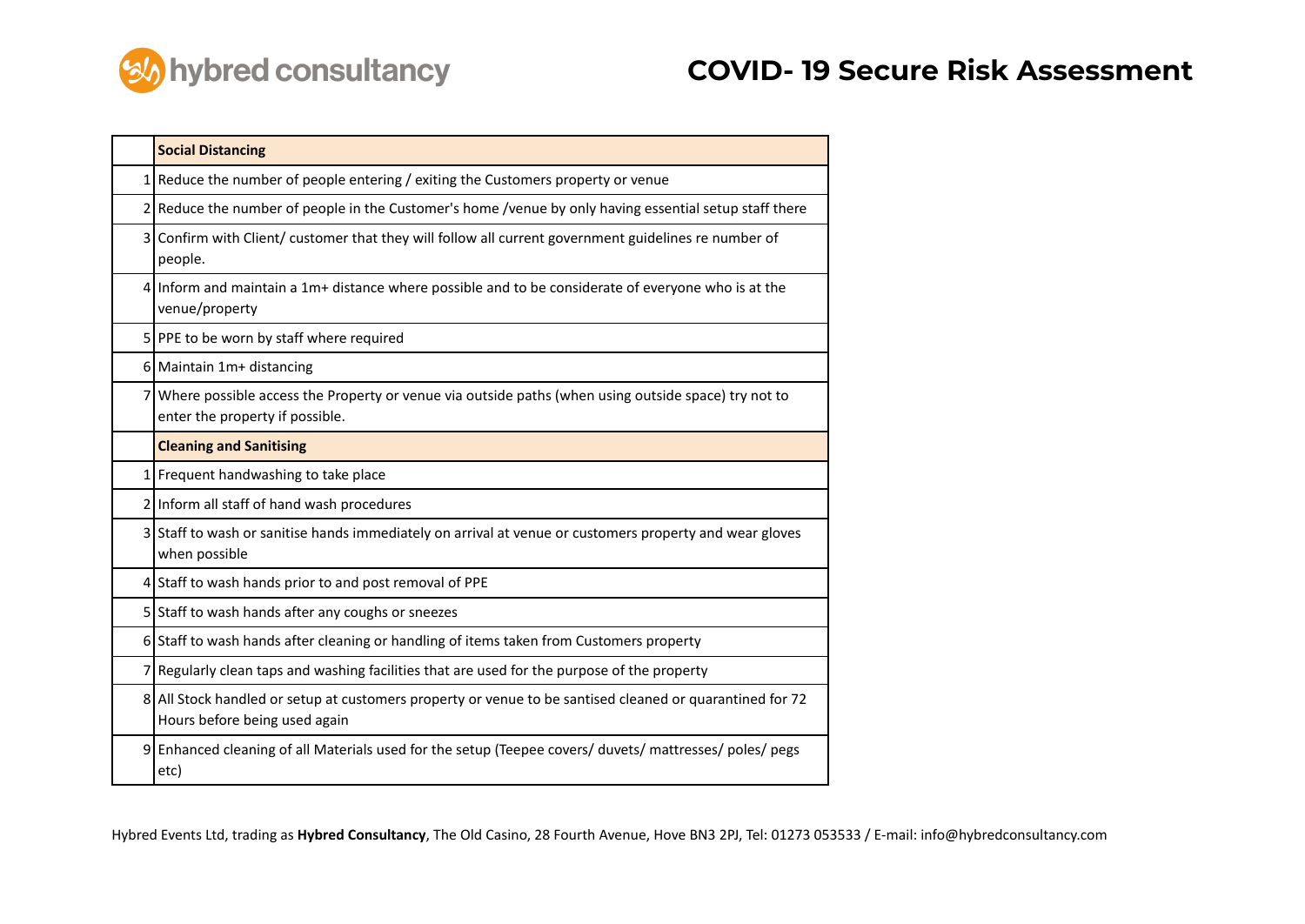

|   | <b>Social Distancing</b>                                                                                                                  |
|---|-------------------------------------------------------------------------------------------------------------------------------------------|
|   | $1$ Reduce the number of people entering / exiting the Customers property or venue                                                        |
|   | 2 Reduce the number of people in the Customer's home /venue by only having essential setup staff there                                    |
|   | 3 Confirm with Client/ customer that they will follow all current government guidelines re number of<br>people.                           |
|   | 4 Inform and maintain a 1m+ distance where possible and to be considerate of everyone who is at the<br>venue/property                     |
|   | 5 PPE to be worn by staff where required                                                                                                  |
|   | 6 Maintain 1m+ distancing                                                                                                                 |
|   | 7 Where possible access the Property or venue via outside paths (when using outside space) try not to<br>enter the property if possible.  |
|   | <b>Cleaning and Sanitising</b>                                                                                                            |
|   | 1 Frequent handwashing to take place                                                                                                      |
|   | 2 Inform all staff of hand wash procedures                                                                                                |
|   | 3 Staff to wash or sanitise hands immediately on arrival at venue or customers property and wear gloves<br>when possible                  |
|   | 4 Staff to wash hands prior to and post removal of PPE                                                                                    |
|   | 5 Staff to wash hands after any coughs or sneezes                                                                                         |
|   | 6 Staff to wash hands after cleaning or handling of items taken from Customers property                                                   |
|   | 7 Regularly clean taps and washing facilities that are used for the purpose of the property                                               |
|   | 8 All Stock handled or setup at customers property or venue to be santised cleaned or quarantined for 72<br>Hours before being used again |
| 9 | Enhanced cleaning of all Materials used for the setup (Teepee covers/ duvets/ mattresses/ poles/ pegs<br>etc)                             |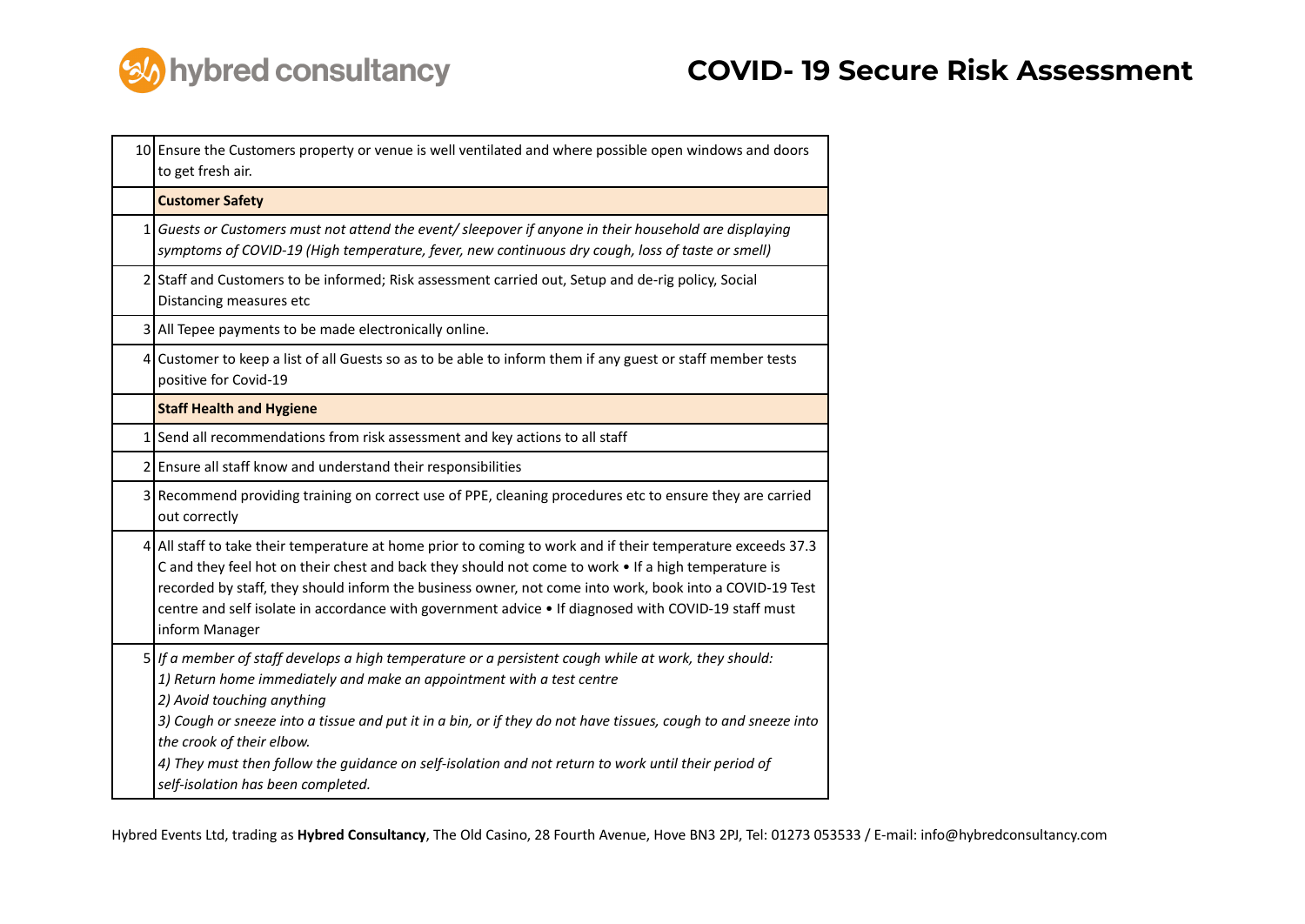

|   | 10 Ensure the Customers property or venue is well ventilated and where possible open windows and doors<br>to get fresh air.                                                                                                                                                                                                                                                                                                                                                                                |
|---|------------------------------------------------------------------------------------------------------------------------------------------------------------------------------------------------------------------------------------------------------------------------------------------------------------------------------------------------------------------------------------------------------------------------------------------------------------------------------------------------------------|
|   | <b>Customer Safety</b>                                                                                                                                                                                                                                                                                                                                                                                                                                                                                     |
| 1 | Guests or Customers must not attend the event/ sleepover if anyone in their household are displaying<br>symptoms of COVID-19 (High temperature, fever, new continuous dry cough, loss of taste or smell)                                                                                                                                                                                                                                                                                                   |
|   | 2 Staff and Customers to be informed; Risk assessment carried out, Setup and de-rig policy, Social<br>Distancing measures etc                                                                                                                                                                                                                                                                                                                                                                              |
|   | 3 All Tepee payments to be made electronically online.                                                                                                                                                                                                                                                                                                                                                                                                                                                     |
|   | 4 Customer to keep a list of all Guests so as to be able to inform them if any guest or staff member tests<br>positive for Covid-19                                                                                                                                                                                                                                                                                                                                                                        |
|   | <b>Staff Health and Hygiene</b>                                                                                                                                                                                                                                                                                                                                                                                                                                                                            |
|   | 1 Send all recommendations from risk assessment and key actions to all staff                                                                                                                                                                                                                                                                                                                                                                                                                               |
| 2 | Ensure all staff know and understand their responsibilities                                                                                                                                                                                                                                                                                                                                                                                                                                                |
| 3 | Recommend providing training on correct use of PPE, cleaning procedures etc to ensure they are carried<br>out correctly                                                                                                                                                                                                                                                                                                                                                                                    |
|   | 4 All staff to take their temperature at home prior to coming to work and if their temperature exceeds 37.3<br>C and they feel hot on their chest and back they should not come to work . If a high temperature is<br>recorded by staff, they should inform the business owner, not come into work, book into a COVID-19 Test<br>centre and self isolate in accordance with government advice . If diagnosed with COVID-19 staff must<br>inform Manager                                                    |
|   | 5   If a member of staff develops a high temperature or a persistent cough while at work, they should:<br>1) Return home immediately and make an appointment with a test centre<br>2) Avoid touching anything<br>3) Cough or sneeze into a tissue and put it in a bin, or if they do not have tissues, cough to and sneeze into<br>the crook of their elbow.<br>4) They must then follow the guidance on self-isolation and not return to work until their period of<br>self-isolation has been completed. |